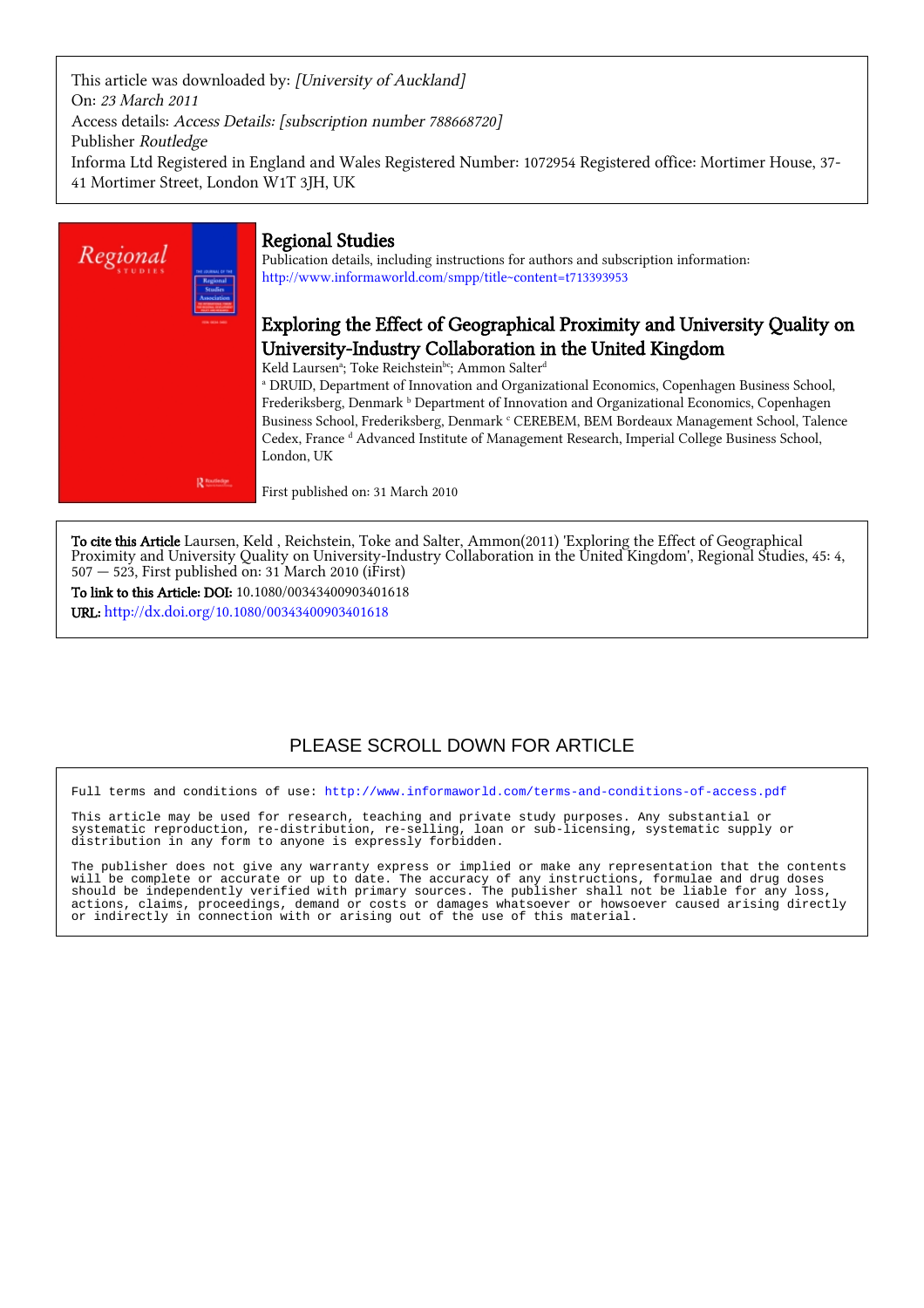This article was downloaded by: [University of Auckland] On: 23 March 2011 Access details: Access Details: [subscription number 788668720] Publisher Routledge Informa Ltd Registered in England and Wales Registered Number: 1072954 Registered office: Mortimer House, 37- 41 Mortimer Street, London W1T 3JH, UK



# Regional Studies

Publication details, including instructions for authors and subscription information: <http://www.informaworld.com/smpp/title~content=t713393953>

# Exploring the Effect of Geographical Proximity and University Quality on University-Industry Collaboration in the United Kingdom

Keld Laursenª; Toke Reichstein<sup>ьc</sup>; Ammon Salter<sup>d</sup>

a DRUID, Department of Innovation and Organizational Economics, Copenhagen Business School, Frederiksberg, Denmark <sup>b</sup> Department of Innovation and Organizational Economics, Copenhagen Business School, Frederiksberg, Denmark <sup>c</sup> CEREBEM, BEM Bordeaux Management School, Talence Cedex, France <sup>d</sup> Advanced Institute of Management Research, Imperial College Business School, London, UK

First published on: 31 March 2010

To cite this Article Laursen, Keld , Reichstein, Toke and Salter, Ammon(2011) 'Exploring the Effect of Geographical Proximity and University Quality on University-Industry Collaboration in the United Kingdom', Regional Studies, 45: 4,  $507 - 523$ , First published on: 31 March 2010 (iFirst)

To link to this Article: DOI: 10.1080/00343400903401618 URL: <http://dx.doi.org/10.1080/00343400903401618>

# PLEASE SCROLL DOWN FOR ARTICLE

Full terms and conditions of use:<http://www.informaworld.com/terms-and-conditions-of-access.pdf>

This article may be used for research, teaching and private study purposes. Any substantial or systematic reproduction, re-distribution, re-selling, loan or sub-licensing, systematic supply or distribution in any form to anyone is expressly forbidden.

The publisher does not give any warranty express or implied or make any representation that the contents will be complete or accurate or up to date. The accuracy of any instructions, formulae and drug doses should be independently verified with primary sources. The publisher shall not be liable for any loss, actions, claims, proceedings, demand or costs or damages whatsoever or howsoever caused arising directly or indirectly in connection with or arising out of the use of this material.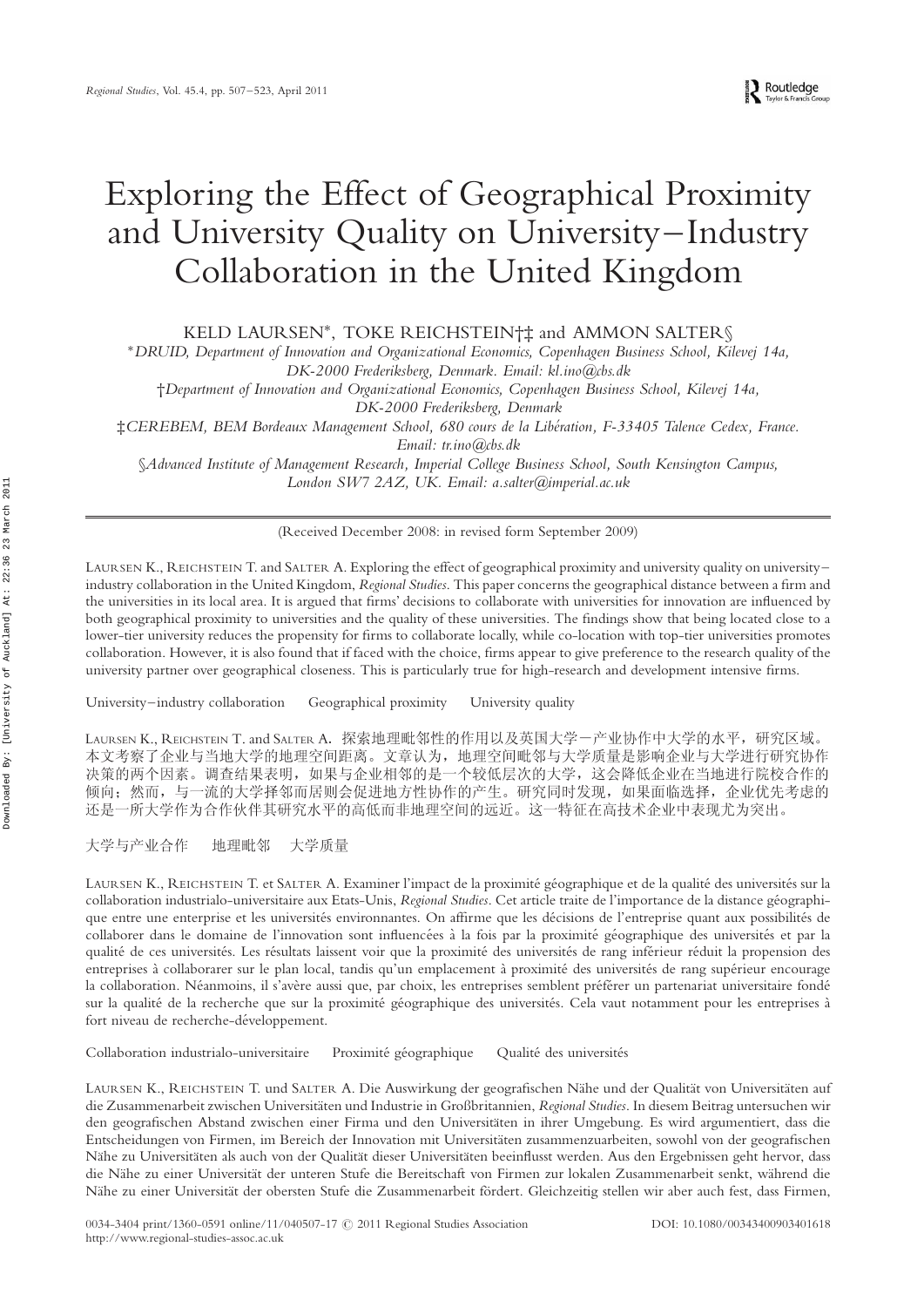# Exploring the Effect of Geographical Proximity and University Quality on University–Industry Collaboration in the United Kingdom

KELD LAURSEN<sup>\*</sup>, TOKE REICHSTEIN†‡ and AMMON SALTER§<br>\*DRUID Department of Innovation and Organizational Economics Conculagen Business School Ki

DRUID, Department of Innovation and Organizational Economics, Copenhagen Business School, Kilevej 14a,

DK-2000 Frederiksberg, Denmark. Email: kl.ino@cbs.dk

†Department of Innovation and Organizational Economics, Copenhagen Business School, Kilevej 14a,

DK-2000 Frederiksberg, Denmark

‡CEREBEM, BEM Bordeaux Management School, 680 cours de la Libe´ration, F-33405 Talence Cedex, France.

Email: tr.ino@cbs.dk

§Advanced Institute of Management Research, Imperial College Business School, South Kensington Campus, London SW7 2AZ, UK. Email: a.salter@imperial.ac.uk

(Received December 2008: in revised form September 2009)

LAURSEN K., REICHSTEIN T. and SALTER A. Exploring the effect of geographical proximity and university quality on university– industry collaboration in the United Kingdom, Regional Studies. This paper concerns the geographical distance between a firm and the universities in its local area. It is argued that firms' decisions to collaborate with universities for innovation are influenced by both geographical proximity to universities and the quality of these universities. The findings show that being located close to a lower-tier university reduces the propensity for firms to collaborate locally, while co-location with top-tier universities promotes collaboration. However, it is also found that if faced with the choice, firms appear to give preference to the research quality of the university partner over geographical closeness. This is particularly true for high-research and development intensive firms.

University–industry collaboration Geographical proximity University quality

LAURSEN K., REICHSTEIN T. and SALTER A. 探索地理毗邻性的作用以及英国大学一产业协作中大学的水平, 研究区域。 本文考察了企业与当地大学的地理空间距离。文章认为, 地理空间毗邻与大学质量是影响企业与大学进行研究协作 决策的两个因素。调查结果表明, 如果与企业相邻的是一个较低层次的大学, 这会降低企业在当地进行院校合作的 倾向; 然而, 与一流的大学择邻而居则会促进地方性协作的产生。研究同时发现, 如果面临选择, 企业优先考虑的 还是一所大学作为合作伙伴其研究水平的高低而非地理空间的远近。这一特征在高技术企业中表现尤为突出。

大学与产业合作 地理毗邻 大学质量

LAURSEN K., REICHSTEIN T. et SALTER A. Examiner l'impact de la proximité géographique et de la qualité des universités sur la collaboration industrialo-universitaire aux Etats-Unis, Regional Studies. Cet article traite de l'importance de la distance géographique entre une enterprise et les universités environnantes. On affirme que les décisions de l'entreprise quant aux possibilités de collaborer dans le domaine de l'innovation sont influencées à la fois par la proximité géographique des universités et par la qualité de ces universités. Les résultats laissent voir que la proximité des universités de rang inférieur réduit la propension des entreprises à collaborarer sur le plan local, tandis qu'un emplacement à proximité des universités de rang supérieur encourage la collaboration. Néanmoins, il s'avère aussi que, par choix, les entreprises semblent préférer un partenariat universitaire fondé sur la qualité de la recherche que sur la proximité géographique des universités. Cela vaut notamment pour les entreprises à fort niveau de recherche-développement.

Collaboration industrialo-universitaire Proximité géographique Qualité des universités

LAURSEN K., REICHSTEIN T. und SALTER A. Die Auswirkung der geografischen Nähe und der Qualität von Universitäten auf die Zusammenarbeit zwischen Universitäten und Industrie in Großbritannien, Regional Studies. In diesem Beitrag untersuchen wir den geografischen Abstand zwischen einer Firma und den Universitäten in ihrer Umgebung. Es wird argumentiert, dass die Entscheidungen von Firmen, im Bereich der Innovation mit Universitäten zusammenzuarbeiten, sowohl von der geografischen Nähe zu Universitäten als auch von der Qualität dieser Universitäten beeinflusst werden. Aus den Ergebnissen geht hervor, dass die Nähe zu einer Universität der unteren Stufe die Bereitschaft von Firmen zur lokalen Zusammenarbeit senkt, während die Nähe zu einer Universität der obersten Stufe die Zusammenarbeit fördert. Gleichzeitig stellen wir aber auch fest, dass Firmen,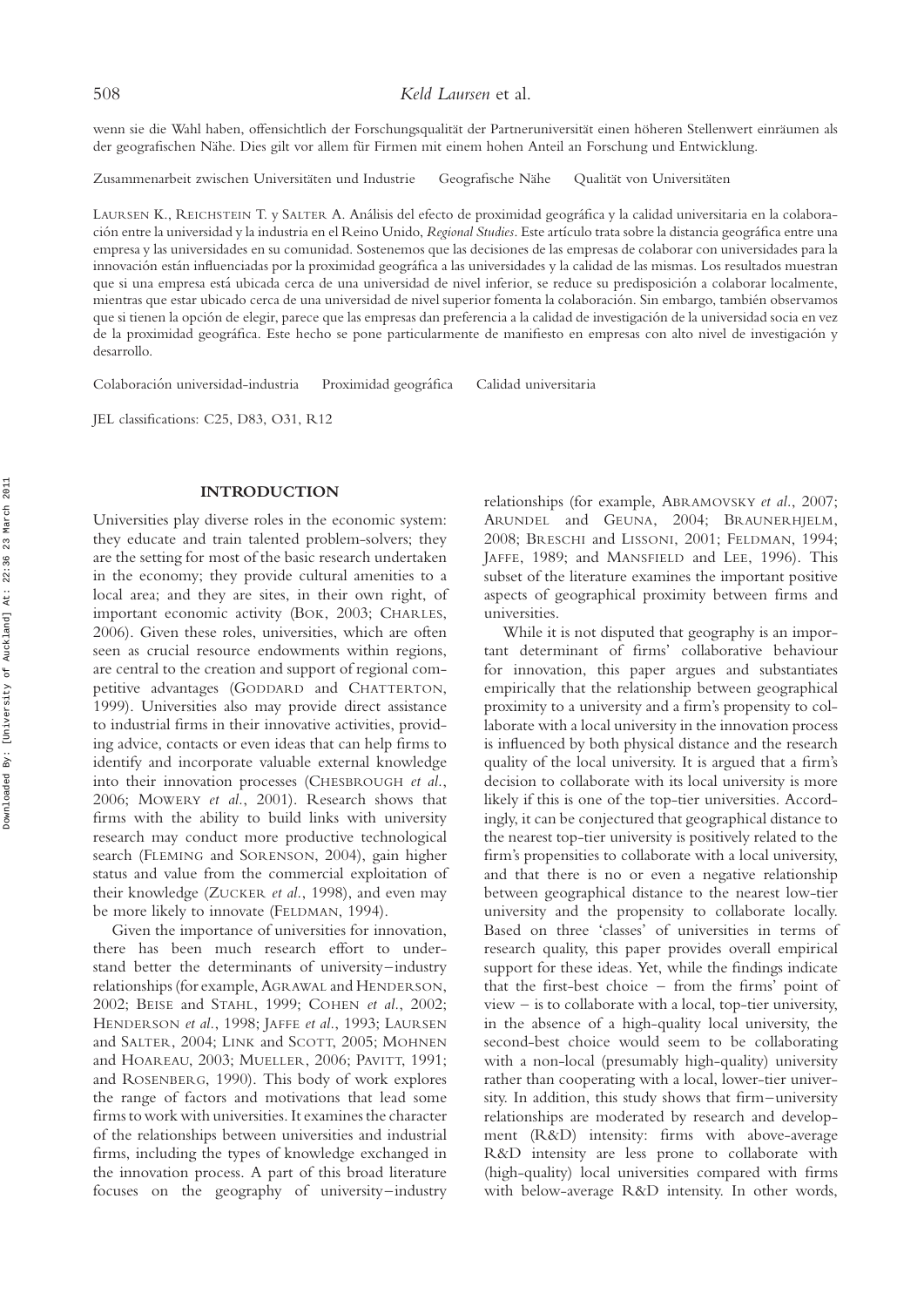508 Keld Laursen et al.

wenn sie die Wahl haben, offensichtlich der Forschungsqualität der Partneruniversität einen höheren Stellenwert einräumen als der geografischen Nähe. Dies gilt vor allem für Firmen mit einem hohen Anteil an Forschung und Entwicklung.

Zusammenarbeit zwischen Universitäten und Industrie Geografische Nähe Qualität von Universitäten

LAURSEN K., REICHSTEIN T. y SALTER A. Análisis del efecto de proximidad geográfica y la calidad universitaria en la colaboración entre la universidad y la industria en el Reino Unido, Regional Studies. Este artículo trata sobre la distancia geográfica entre una empresa y las universidades en su comunidad. Sostenemos que las decisiones de las empresas de colaborar con universidades para la innovación están influenciadas por la proximidad geográfica a las universidades y la calidad de las mismas. Los resultados muestran que si una empresa está ubicada cerca de una universidad de nivel inferior, se reduce su predisposición a colaborar localmente, mientras que estar ubicado cerca de una universidad de nivel superior fomenta la colaboración. Sin embargo, también observamos que si tienen la opción de elegir, parece que las empresas dan preferencia a la calidad de investigación de la universidad socia en vez de la proximidad geográfica. Este hecho se pone particularmente de manifiesto en empresas con alto nivel de investigación y desarrollo.

Colaboración universidad-industria Proximidad geográfica Calidad universitaria

JEL classifications: C25, D83, O31, R12

#### INTRODUCTION

Universities play diverse roles in the economic system: they educate and train talented problem-solvers; they are the setting for most of the basic research undertaken in the economy; they provide cultural amenities to a local area; and they are sites, in their own right, of important economic activity (BOK, 2003; CHARLES, 2006). Given these roles, universities, which are often seen as crucial resource endowments within regions, are central to the creation and support of regional competitive advantages (GODDARD and CHATTERTON, 1999). Universities also may provide direct assistance to industrial firms in their innovative activities, providing advice, contacts or even ideas that can help firms to identify and incorporate valuable external knowledge into their innovation processes (CHESBROUGH et al., 2006; MOWERY et al., 2001). Research shows that firms with the ability to build links with university research may conduct more productive technological search (FLEMING and SORENSON, 2004), gain higher status and value from the commercial exploitation of their knowledge (ZUCKER et al., 1998), and even may be more likely to innovate (FELDMAN, 1994).

Given the importance of universities for innovation, there has been much research effort to understand better the determinants of university–industry relationships (for example, AGRAWAL and HENDERSON, 2002; BEISE and STAHL, 1999; COHEN et al., 2002; HENDERSON et al., 1998; JAFFE et al., 1993; LAURSEN and SALTER, 2004; LINK and SCOTT, 2005; MOHNEN and HOAREAU, 2003; MUELLER, 2006; PAVITT, 1991; and ROSENBERG, 1990). This body of work explores the range of factors and motivations that lead some firms towork with universities. It examines the character of the relationships between universities and industrial firms, including the types of knowledge exchanged in the innovation process. A part of this broad literature focuses on the geography of university–industry relationships (for example, ABRAMOVSKY et al., 2007; ARUNDEL and GEUNA, 2004; BRAUNERHJELM, 2008; BRESCHI and LISSONI, 2001; FELDMAN, 1994; JAFFE, 1989; and MANSFIELD and LEE, 1996). This subset of the literature examines the important positive aspects of geographical proximity between firms and universities.

While it is not disputed that geography is an important determinant of firms' collaborative behaviour for innovation, this paper argues and substantiates empirically that the relationship between geographical proximity to a university and a firm's propensity to collaborate with a local university in the innovation process is influenced by both physical distance and the research quality of the local university. It is argued that a firm's decision to collaborate with its local university is more likely if this is one of the top-tier universities. Accordingly, it can be conjectured that geographical distance to the nearest top-tier university is positively related to the firm's propensities to collaborate with a local university, and that there is no or even a negative relationship between geographical distance to the nearest low-tier university and the propensity to collaborate locally. Based on three 'classes' of universities in terms of research quality, this paper provides overall empirical support for these ideas. Yet, while the findings indicate that the first-best choice – from the firms' point of view – is to collaborate with a local, top-tier university, in the absence of a high-quality local university, the second-best choice would seem to be collaborating with a non-local (presumably high-quality) university rather than cooperating with a local, lower-tier university. In addition, this study shows that firm–university relationships are moderated by research and development (R&D) intensity: firms with above-average R&D intensity are less prone to collaborate with (high-quality) local universities compared with firms with below-average R&D intensity. In other words,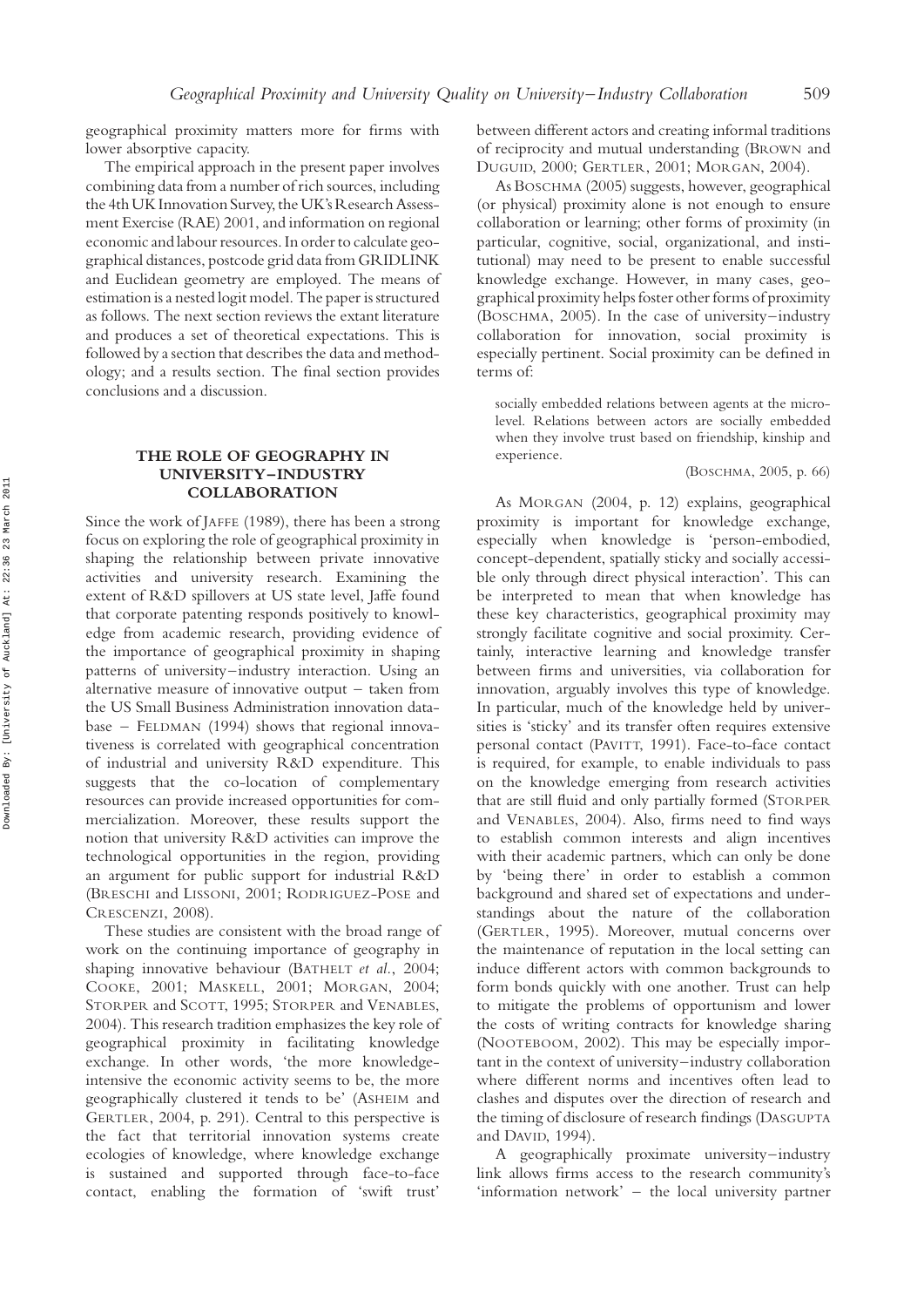geographical proximity matters more for firms with lower absorptive capacity.

The empirical approach in the present paper involves combining data from a number of rich sources, including the 4th UK Innovation Survey, the UK's Research Assessment Exercise (RAE) 2001, and information on regional economic and labour resources. In order to calculate geographical distances, postcode grid data from GRIDLINK and Euclidean geometry are employed. The means of estimation is a nested logit model. The paper is structured as follows. The next section reviews the extant literature and produces a set of theoretical expectations. This is followed by a section that describes the data and methodology; and a results section. The final section provides conclusions and a discussion.

## THE ROLE OF GEOGRAPHY IN UNIVERSITY– INDUSTRY COLLABORATION

Since the work of JAFFE (1989), there has been a strong focus on exploring the role of geographical proximity in shaping the relationship between private innovative activities and university research. Examining the extent of R&D spillovers at US state level, Jaffe found that corporate patenting responds positively to knowledge from academic research, providing evidence of the importance of geographical proximity in shaping patterns of university–industry interaction. Using an alternative measure of innovative output – taken from the US Small Business Administration innovation database – FELDMAN (1994) shows that regional innovativeness is correlated with geographical concentration of industrial and university R&D expenditure. This suggests that the co-location of complementary resources can provide increased opportunities for commercialization. Moreover, these results support the notion that university R&D activities can improve the technological opportunities in the region, providing an argument for public support for industrial R&D (BRESCHI and LISSONI, 2001; RODRIGUEZ-POSE and CRESCENZI, 2008).

These studies are consistent with the broad range of work on the continuing importance of geography in shaping innovative behaviour (BATHELT et al., 2004; COOKE, 2001; MASKELL, 2001; MORGAN, 2004; STORPER and SCOTT, 1995; STORPER and VENABLES, 2004). This research tradition emphasizes the key role of geographical proximity in facilitating knowledge exchange. In other words, 'the more knowledgeintensive the economic activity seems to be, the more geographically clustered it tends to be' (ASHEIM and GERTLER, 2004, p. 291). Central to this perspective is the fact that territorial innovation systems create ecologies of knowledge, where knowledge exchange is sustained and supported through face-to-face contact, enabling the formation of 'swift trust'

between different actors and creating informal traditions of reciprocity and mutual understanding (BROWN and DUGUID, 2000; GERTLER, 2001; MORGAN, 2004).

As BOSCHMA (2005) suggests, however, geographical (or physical) proximity alone is not enough to ensure collaboration or learning; other forms of proximity (in particular, cognitive, social, organizational, and institutional) may need to be present to enable successful knowledge exchange. However, in many cases, geographical proximity helps foster other forms of proximity (BOSCHMA, 2005). In the case of university–industry collaboration for innovation, social proximity is especially pertinent. Social proximity can be defined in terms of:

socially embedded relations between agents at the microlevel. Relations between actors are socially embedded when they involve trust based on friendship, kinship and experience.

#### (BOSCHMA, 2005, p. 66)

As MORGAN (2004, p. 12) explains, geographical proximity is important for knowledge exchange, especially when knowledge is 'person-embodied, concept-dependent, spatially sticky and socially accessible only through direct physical interaction'. This can be interpreted to mean that when knowledge has these key characteristics, geographical proximity may strongly facilitate cognitive and social proximity. Certainly, interactive learning and knowledge transfer between firms and universities, via collaboration for innovation, arguably involves this type of knowledge. In particular, much of the knowledge held by universities is 'sticky' and its transfer often requires extensive personal contact (PAVITT, 1991). Face-to-face contact is required, for example, to enable individuals to pass on the knowledge emerging from research activities that are still fluid and only partially formed (STORPER and VENABLES, 2004). Also, firms need to find ways to establish common interests and align incentives with their academic partners, which can only be done by 'being there' in order to establish a common background and shared set of expectations and understandings about the nature of the collaboration (GERTLER, 1995). Moreover, mutual concerns over the maintenance of reputation in the local setting can induce different actors with common backgrounds to form bonds quickly with one another. Trust can help to mitigate the problems of opportunism and lower the costs of writing contracts for knowledge sharing (NOOTEBOOM, 2002). This may be especially important in the context of university–industry collaboration where different norms and incentives often lead to clashes and disputes over the direction of research and the timing of disclosure of research findings (DASGUPTA and DAVID, 1994).

A geographically proximate university–industry link allows firms access to the research community's 'information network' – the local university partner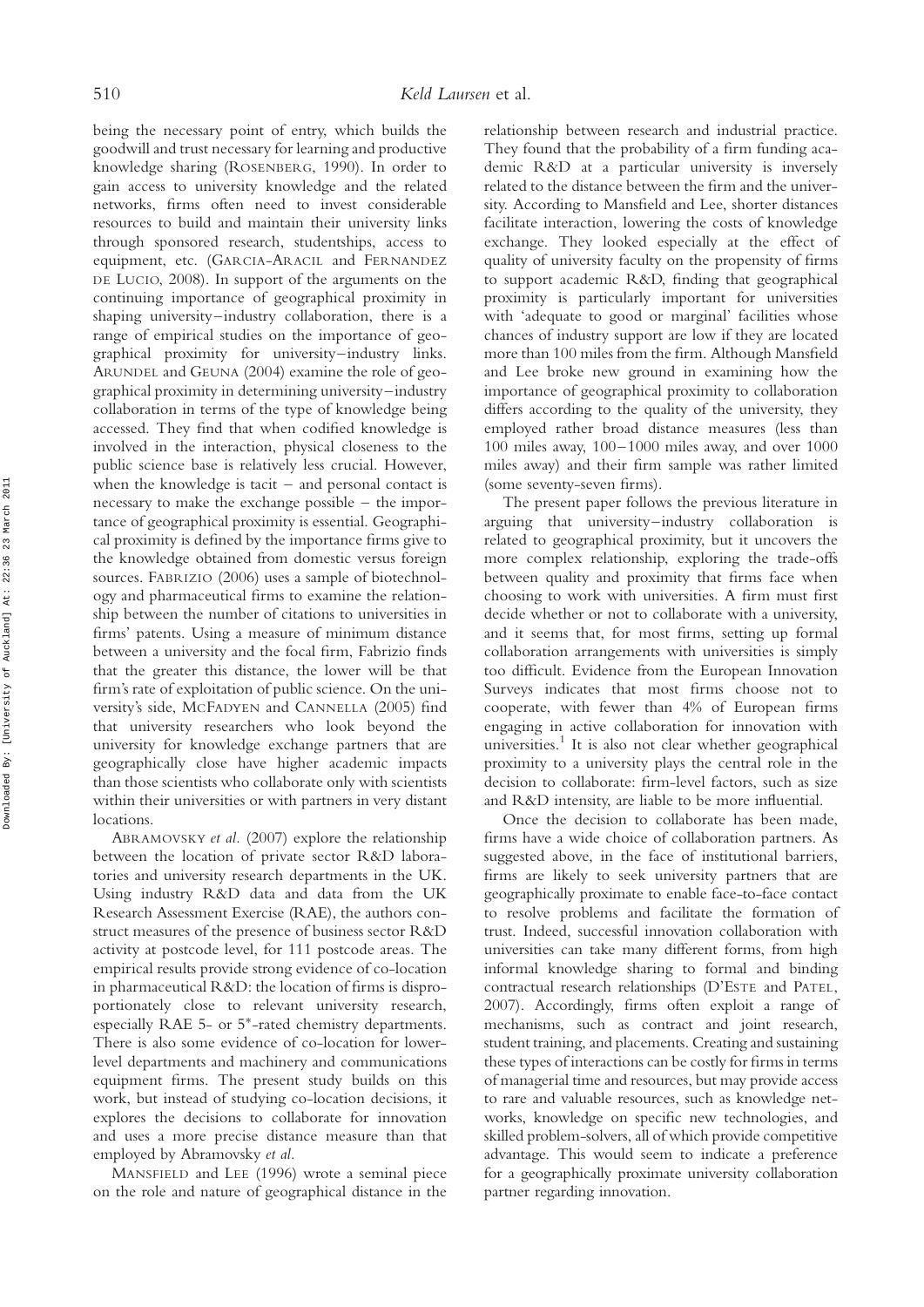being the necessary point of entry, which builds the goodwill and trust necessary for learning and productive knowledge sharing (ROSENBERG, 1990). In order to gain access to university knowledge and the related networks, firms often need to invest considerable resources to build and maintain their university links through sponsored research, studentships, access to equipment, etc. (GARCIA-ARACIL and FERNANDEZ DE LUCIO, 2008). In support of the arguments on the continuing importance of geographical proximity in shaping university–industry collaboration, there is a range of empirical studies on the importance of geographical proximity for university–industry links. ARUNDEL and GEUNA (2004) examine the role of geographical proximity in determining university–industry collaboration in terms of the type of knowledge being accessed. They find that when codified knowledge is involved in the interaction, physical closeness to the public science base is relatively less crucial. However, when the knowledge is tacit – and personal contact is necessary to make the exchange possible – the importance of geographical proximity is essential. Geographical proximity is defined by the importance firms give to the knowledge obtained from domestic versus foreign sources. FABRIZIO (2006) uses a sample of biotechnology and pharmaceutical firms to examine the relationship between the number of citations to universities in firms' patents. Using a measure of minimum distance between a university and the focal firm, Fabrizio finds that the greater this distance, the lower will be that firm's rate of exploitation of public science. On the university's side, MCFADYEN and CANNELLA (2005) find that university researchers who look beyond the university for knowledge exchange partners that are geographically close have higher academic impacts than those scientists who collaborate only with scientists within their universities or with partners in very distant locations.

ABRAMOVSKY et al. (2007) explore the relationship between the location of private sector R&D laboratories and university research departments in the UK. Using industry R&D data and data from the UK Research Assessment Exercise (RAE), the authors construct measures of the presence of business sector R&D activity at postcode level, for 111 postcode areas. The empirical results provide strong evidence of co-location in pharmaceutical R&D: the location of firms is disproportionately close to relevant university research, especially RAE 5- or 5<sup>\*</sup>-rated chemistry departments. There is also some evidence of co-location for lowerlevel departments and machinery and communications equipment firms. The present study builds on this work, but instead of studying co-location decisions, it explores the decisions to collaborate for innovation and uses a more precise distance measure than that employed by Abramovsky et al.

MANSFIELD and LEE (1996) wrote a seminal piece on the role and nature of geographical distance in the relationship between research and industrial practice. They found that the probability of a firm funding academic R&D at a particular university is inversely related to the distance between the firm and the university. According to Mansfield and Lee, shorter distances facilitate interaction, lowering the costs of knowledge exchange. They looked especially at the effect of quality of university faculty on the propensity of firms to support academic R&D, finding that geographical proximity is particularly important for universities with 'adequate to good or marginal' facilities whose chances of industry support are low if they are located more than 100 miles from the firm. Although Mansfield and Lee broke new ground in examining how the importance of geographical proximity to collaboration differs according to the quality of the university, they employed rather broad distance measures (less than 100 miles away, 100–1000 miles away, and over 1000 miles away) and their firm sample was rather limited (some seventy-seven firms).

The present paper follows the previous literature in arguing that university–industry collaboration is related to geographical proximity, but it uncovers the more complex relationship, exploring the trade-offs between quality and proximity that firms face when choosing to work with universities. A firm must first decide whether or not to collaborate with a university, and it seems that, for most firms, setting up formal collaboration arrangements with universities is simply too difficult. Evidence from the European Innovation Surveys indicates that most firms choose not to cooperate, with fewer than 4% of European firms engaging in active collaboration for innovation with universities. $\frac{1}{1}$  It is also not clear whether geographical proximity to a university plays the central role in the decision to collaborate: firm-level factors, such as size and R&D intensity, are liable to be more influential.

Once the decision to collaborate has been made, firms have a wide choice of collaboration partners. As suggested above, in the face of institutional barriers, firms are likely to seek university partners that are geographically proximate to enable face-to-face contact to resolve problems and facilitate the formation of trust. Indeed, successful innovation collaboration with universities can take many different forms, from high informal knowledge sharing to formal and binding contractual research relationships (D'ESTE and PATEL, 2007). Accordingly, firms often exploit a range of mechanisms, such as contract and joint research, student training, and placements. Creating and sustaining these types of interactions can be costly for firms in terms of managerial time and resources, but may provide access to rare and valuable resources, such as knowledge networks, knowledge on specific new technologies, and skilled problem-solvers, all of which provide competitive advantage. This would seem to indicate a preference for a geographically proximate university collaboration partner regarding innovation.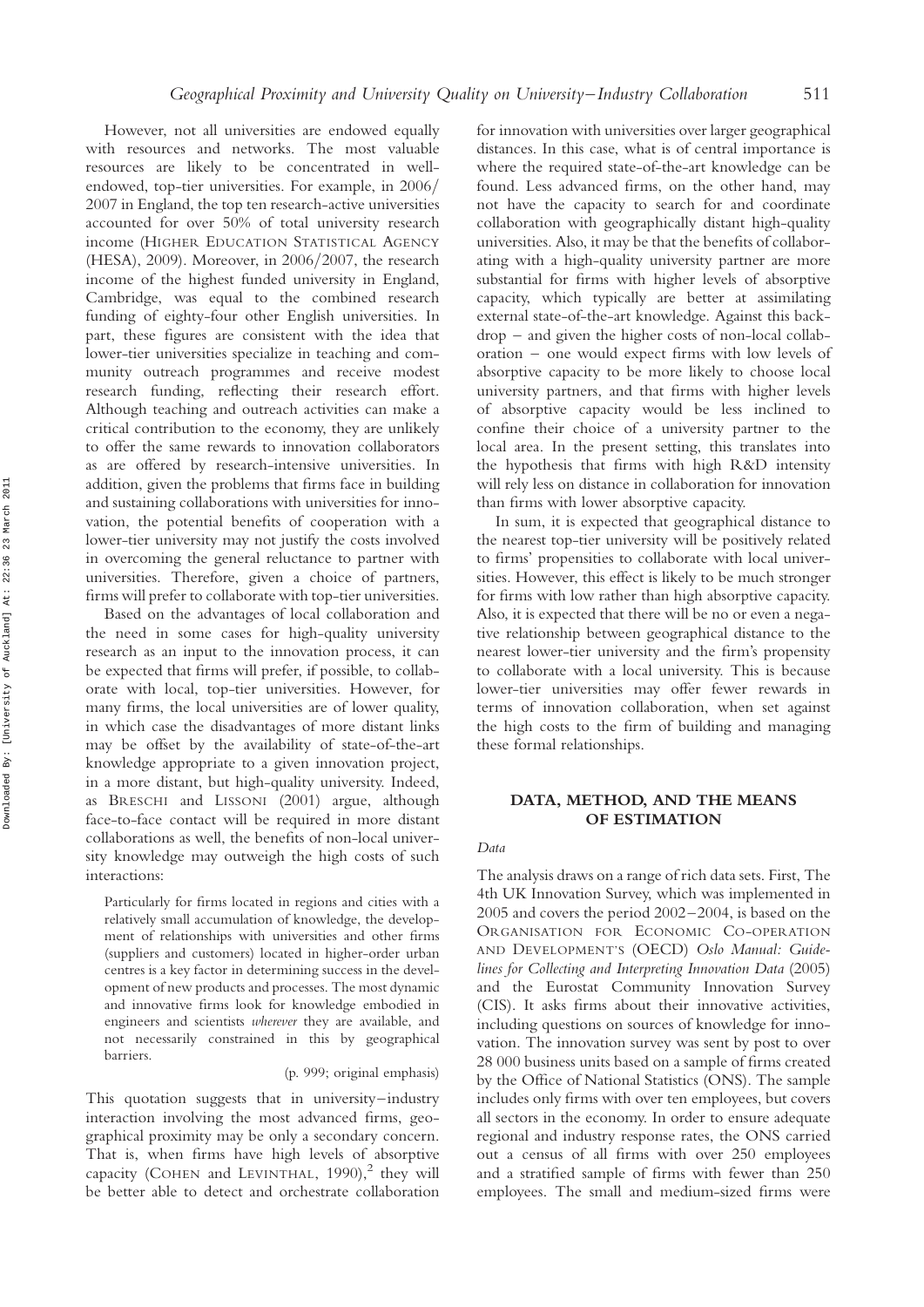However, not all universities are endowed equally with resources and networks. The most valuable resources are likely to be concentrated in wellendowed, top-tier universities. For example, in 2006/ 2007 in England, the top ten research-active universities accounted for over 50% of total university research income (HIGHER EDUCATION STATISTICAL AGENCY (HESA), 2009). Moreover, in 2006/2007, the research income of the highest funded university in England, Cambridge, was equal to the combined research funding of eighty-four other English universities. In part, these figures are consistent with the idea that lower-tier universities specialize in teaching and community outreach programmes and receive modest research funding, reflecting their research effort. Although teaching and outreach activities can make a critical contribution to the economy, they are unlikely to offer the same rewards to innovation collaborators as are offered by research-intensive universities. In addition, given the problems that firms face in building and sustaining collaborations with universities for innovation, the potential benefits of cooperation with a lower-tier university may not justify the costs involved in overcoming the general reluctance to partner with universities. Therefore, given a choice of partners, firms will prefer to collaborate with top-tier universities.

Based on the advantages of local collaboration and the need in some cases for high-quality university research as an input to the innovation process, it can be expected that firms will prefer, if possible, to collaborate with local, top-tier universities. However, for many firms, the local universities are of lower quality, in which case the disadvantages of more distant links may be offset by the availability of state-of-the-art knowledge appropriate to a given innovation project, in a more distant, but high-quality university. Indeed, as BRESCHI and LISSONI (2001) argue, although face-to-face contact will be required in more distant collaborations as well, the benefits of non-local university knowledge may outweigh the high costs of such interactions:

Particularly for firms located in regions and cities with a relatively small accumulation of knowledge, the development of relationships with universities and other firms (suppliers and customers) located in higher-order urban centres is a key factor in determining success in the development of new products and processes. The most dynamic and innovative firms look for knowledge embodied in engineers and scientists wherever they are available, and not necessarily constrained in this by geographical barriers.

(p. 999; original emphasis)

This quotation suggests that in university–industry interaction involving the most advanced firms, geographical proximity may be only a secondary concern. That is, when firms have high levels of absorptive capacity (COHEN and LEVINTHAL,  $1990$ ),<sup>2</sup> they will be better able to detect and orchestrate collaboration

for innovation with universities over larger geographical distances. In this case, what is of central importance is where the required state-of-the-art knowledge can be found. Less advanced firms, on the other hand, may not have the capacity to search for and coordinate collaboration with geographically distant high-quality universities. Also, it may be that the benefits of collaborating with a high-quality university partner are more substantial for firms with higher levels of absorptive capacity, which typically are better at assimilating external state-of-the-art knowledge. Against this backdrop – and given the higher costs of non-local collaboration – one would expect firms with low levels of absorptive capacity to be more likely to choose local university partners, and that firms with higher levels of absorptive capacity would be less inclined to confine their choice of a university partner to the local area. In the present setting, this translates into the hypothesis that firms with high R&D intensity will rely less on distance in collaboration for innovation than firms with lower absorptive capacity.

In sum, it is expected that geographical distance to the nearest top-tier university will be positively related to firms' propensities to collaborate with local universities. However, this effect is likely to be much stronger for firms with low rather than high absorptive capacity. Also, it is expected that there will be no or even a negative relationship between geographical distance to the nearest lower-tier university and the firm's propensity to collaborate with a local university. This is because lower-tier universities may offer fewer rewards in terms of innovation collaboration, when set against the high costs to the firm of building and managing these formal relationships.

#### DATA, METHOD, AND THE MEANS OF ESTIMATION

#### Data

The analysis draws on a range of rich data sets. First, The 4th UK Innovation Survey, which was implemented in 2005 and covers the period 2002–2004, is based on the ORGANISATION FOR ECONOMIC CO-OPERATION AND DEVELOPMENT'S (OECD) Oslo Manual: Guidelines for Collecting and Interpreting Innovation Data (2005) and the Eurostat Community Innovation Survey (CIS). It asks firms about their innovative activities, including questions on sources of knowledge for innovation. The innovation survey was sent by post to over 28 000 business units based on a sample of firms created by the Office of National Statistics (ONS). The sample includes only firms with over ten employees, but covers all sectors in the economy. In order to ensure adequate regional and industry response rates, the ONS carried out a census of all firms with over 250 employees and a stratified sample of firms with fewer than 250 employees. The small and medium-sized firms were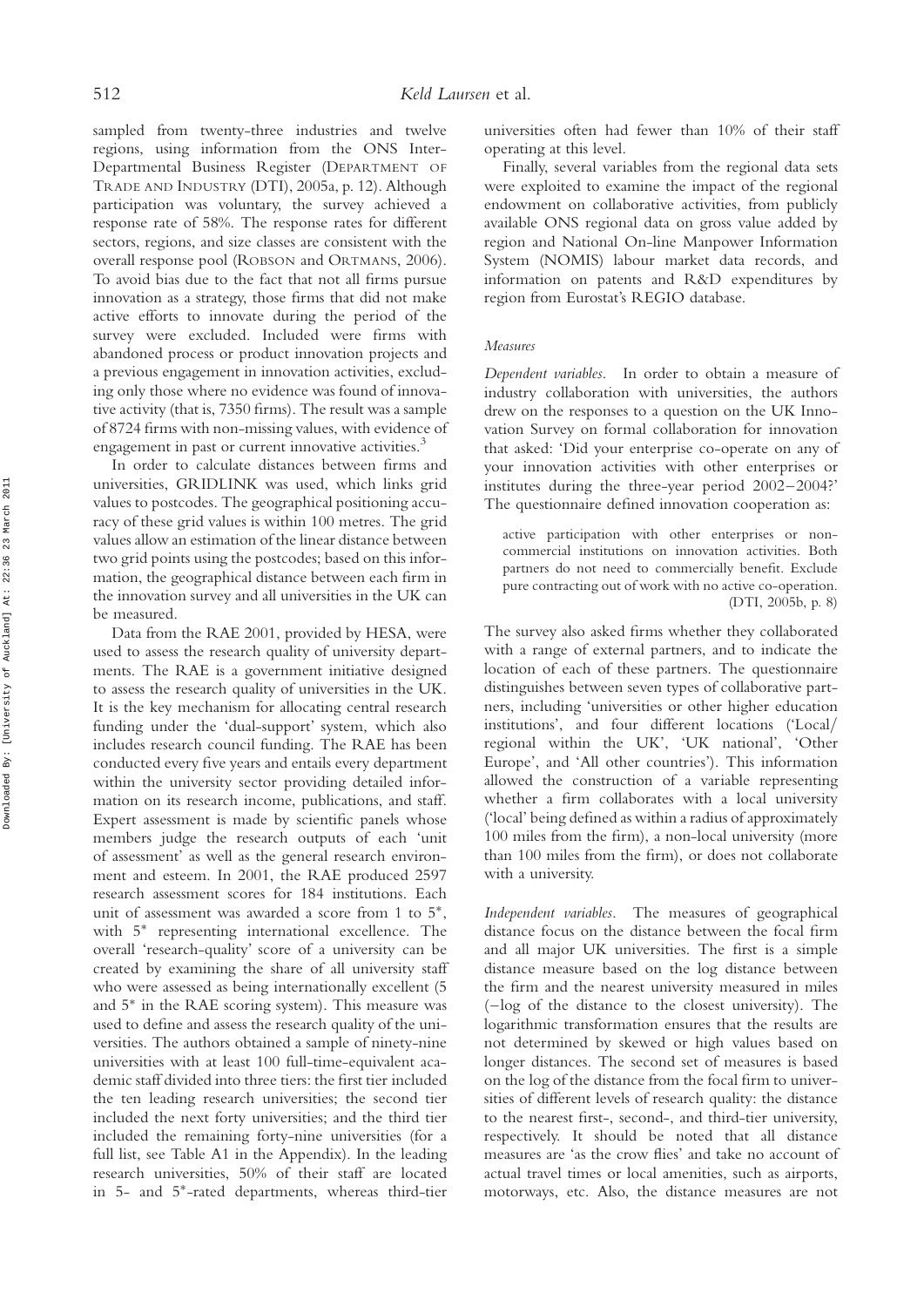sampled from twenty-three industries and twelve regions, using information from the ONS Inter-Departmental Business Register (DEPARTMENT OF TRADE AND INDUSTRY (DTI), 2005a, p. 12). Although participation was voluntary, the survey achieved a response rate of 58%. The response rates for different sectors, regions, and size classes are consistent with the overall response pool (ROBSON and ORTMANS, 2006). To avoid bias due to the fact that not all firms pursue innovation as a strategy, those firms that did not make active efforts to innovate during the period of the survey were excluded. Included were firms with abandoned process or product innovation projects and a previous engagement in innovation activities, excluding only those where no evidence was found of innovative activity (that is, 7350 firms). The result was a sample of 8724 firms with non-missing values, with evidence of engagement in past or current innovative activities.<sup>3</sup>

In order to calculate distances between firms and universities, GRIDLINK was used, which links grid values to postcodes. The geographical positioning accuracy of these grid values is within 100 metres. The grid values allow an estimation of the linear distance between two grid points using the postcodes; based on this information, the geographical distance between each firm in the innovation survey and all universities in the UK can be measured.

Data from the RAE 2001, provided by HESA, were used to assess the research quality of university departments. The RAE is a government initiative designed to assess the research quality of universities in the UK. It is the key mechanism for allocating central research funding under the 'dual-support' system, which also includes research council funding. The RAE has been conducted every five years and entails every department within the university sector providing detailed information on its research income, publications, and staff. Expert assessment is made by scientific panels whose members judge the research outputs of each 'unit of assessment' as well as the general research environment and esteem. In 2001, the RAE produced 2597 research assessment scores for 184 institutions. Each unit of assessment was awarded a score from  $1$  to  $5^*$ , with 5\* representing international excellence. The overall 'research-quality' score of a university can be created by examining the share of all university staff who were assessed as being internationally excellent (5 and 5<sup>\*</sup> in the RAE scoring system). This measure was used to define and assess the research quality of the universities. The authors obtained a sample of ninety-nine universities with at least 100 full-time-equivalent academic staff divided into three tiers: the first tier included the ten leading research universities; the second tier included the next forty universities; and the third tier included the remaining forty-nine universities (for a full list, see Table A1 in the Appendix). In the leading research universities, 50% of their staff are located in 5- and 5<sup>\*</sup>-rated departments, whereas third-tier

universities often had fewer than 10% of their staff operating at this level.

Finally, several variables from the regional data sets were exploited to examine the impact of the regional endowment on collaborative activities, from publicly available ONS regional data on gross value added by region and National On-line Manpower Information System (NOMIS) labour market data records, and information on patents and R&D expenditures by region from Eurostat's REGIO database.

#### Measures

Dependent variables. In order to obtain a measure of industry collaboration with universities, the authors drew on the responses to a question on the UK Innovation Survey on formal collaboration for innovation that asked: 'Did your enterprise co-operate on any of your innovation activities with other enterprises or institutes during the three-year period 2002–2004?' The questionnaire defined innovation cooperation as:

active participation with other enterprises or noncommercial institutions on innovation activities. Both partners do not need to commercially benefit. Exclude pure contracting out of work with no active co-operation. (DTI, 2005b, p. 8)

The survey also asked firms whether they collaborated with a range of external partners, and to indicate the location of each of these partners. The questionnaire distinguishes between seven types of collaborative partners, including 'universities or other higher education institutions', and four different locations ('Local/ regional within the UK', 'UK national', 'Other Europe', and 'All other countries'). This information allowed the construction of a variable representing whether a firm collaborates with a local university ('local' being defined as within a radius of approximately 100 miles from the firm), a non-local university (more than 100 miles from the firm), or does not collaborate with a university.

Independent variables. The measures of geographical distance focus on the distance between the focal firm and all major UK universities. The first is a simple distance measure based on the log distance between the firm and the nearest university measured in miles (–log of the distance to the closest university). The logarithmic transformation ensures that the results are not determined by skewed or high values based on longer distances. The second set of measures is based on the log of the distance from the focal firm to universities of different levels of research quality: the distance to the nearest first-, second-, and third-tier university, respectively. It should be noted that all distance measures are 'as the crow flies' and take no account of actual travel times or local amenities, such as airports, motorways, etc. Also, the distance measures are not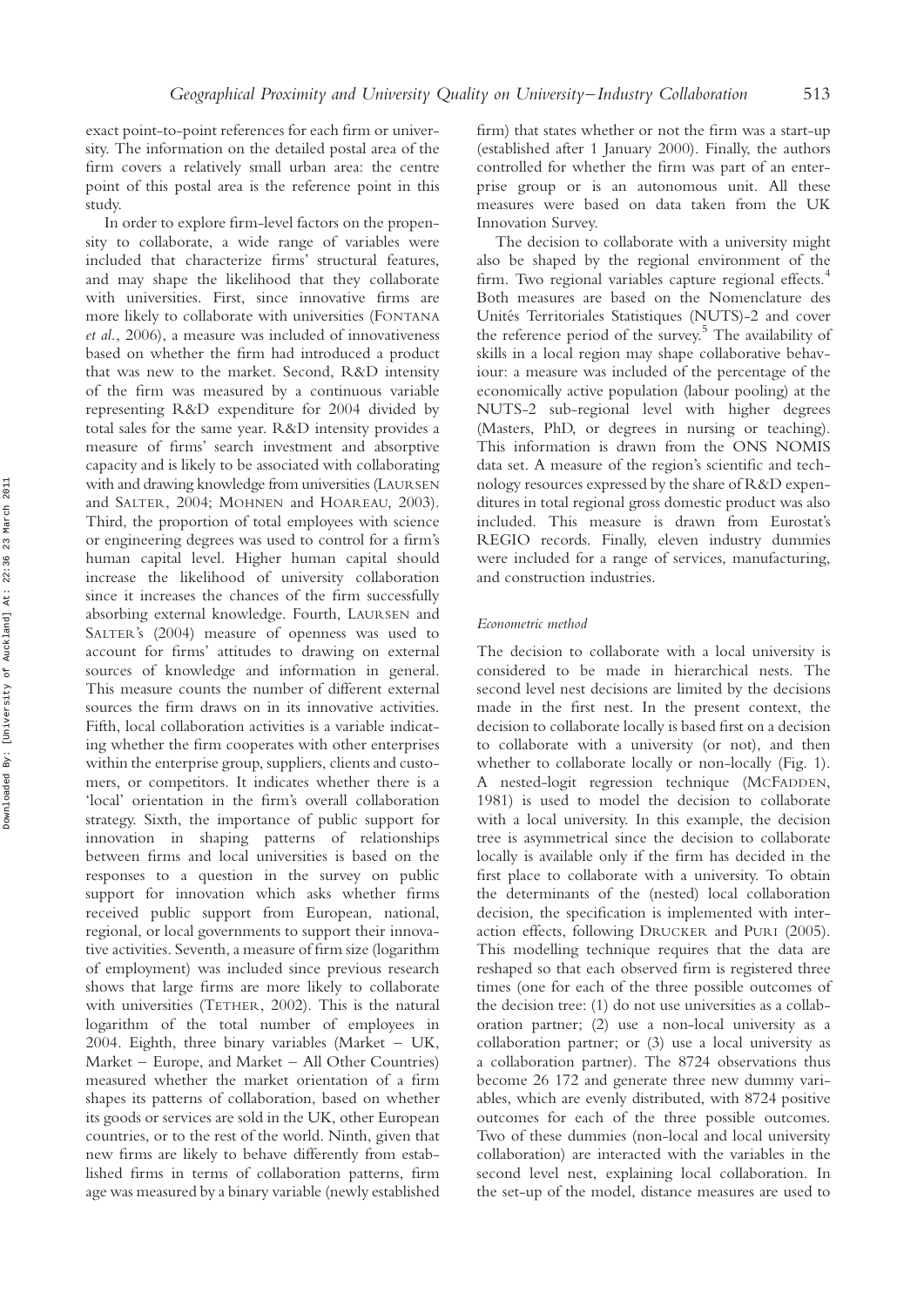exact point-to-point references for each firm or university. The information on the detailed postal area of the firm covers a relatively small urban area: the centre point of this postal area is the reference point in this study.

In order to explore firm-level factors on the propensity to collaborate, a wide range of variables were included that characterize firms' structural features, and may shape the likelihood that they collaborate with universities. First, since innovative firms are more likely to collaborate with universities (FONTANA et al., 2006), a measure was included of innovativeness based on whether the firm had introduced a product that was new to the market. Second, R&D intensity of the firm was measured by a continuous variable representing R&D expenditure for 2004 divided by total sales for the same year. R&D intensity provides a measure of firms' search investment and absorptive capacity and is likely to be associated with collaborating with and drawing knowledge from universities (LAURSEN and SALTER, 2004; MOHNEN and HOAREAU, 2003). Third, the proportion of total employees with science or engineering degrees was used to control for a firm's human capital level. Higher human capital should increase the likelihood of university collaboration since it increases the chances of the firm successfully absorbing external knowledge. Fourth, LAURSEN and SALTER's (2004) measure of openness was used to account for firms' attitudes to drawing on external sources of knowledge and information in general. This measure counts the number of different external sources the firm draws on in its innovative activities. Fifth, local collaboration activities is a variable indicating whether the firm cooperates with other enterprises within the enterprise group, suppliers, clients and customers, or competitors. It indicates whether there is a 'local' orientation in the firm's overall collaboration strategy. Sixth, the importance of public support for innovation in shaping patterns of relationships between firms and local universities is based on the responses to a question in the survey on public support for innovation which asks whether firms received public support from European, national, regional, or local governments to support their innovative activities. Seventh, a measure of firm size (logarithm of employment) was included since previous research shows that large firms are more likely to collaborate with universities (TETHER, 2002). This is the natural logarithm of the total number of employees in 2004. Eighth, three binary variables (Market – UK, Market – Europe, and Market – All Other Countries) measured whether the market orientation of a firm shapes its patterns of collaboration, based on whether its goods or services are sold in the UK, other European countries, or to the rest of the world. Ninth, given that new firms are likely to behave differently from established firms in terms of collaboration patterns, firm age was measured by a binary variable (newly established

firm) that states whether or not the firm was a start-up (established after 1 January 2000). Finally, the authors controlled for whether the firm was part of an enterprise group or is an autonomous unit. All these measures were based on data taken from the UK Innovation Survey.

The decision to collaborate with a university might also be shaped by the regional environment of the firm. Two regional variables capture regional effects.<sup>4</sup> Both measures are based on the Nomenclature des Unités Territoriales Statistiques (NUTS)-2 and cover the reference period of the survey.<sup>5</sup> The availability of skills in a local region may shape collaborative behaviour: a measure was included of the percentage of the economically active population (labour pooling) at the NUTS-2 sub-regional level with higher degrees (Masters, PhD, or degrees in nursing or teaching). This information is drawn from the ONS NOMIS data set. A measure of the region's scientific and technology resources expressed by the share of R&D expenditures in total regional gross domestic product was also included. This measure is drawn from Eurostat's REGIO records. Finally, eleven industry dummies were included for a range of services, manufacturing, and construction industries.

#### Econometric method

The decision to collaborate with a local university is considered to be made in hierarchical nests. The second level nest decisions are limited by the decisions made in the first nest. In the present context, the decision to collaborate locally is based first on a decision to collaborate with a university (or not), and then whether to collaborate locally or non-locally (Fig. 1). A nested-logit regression technique (MCFADDEN, 1981) is used to model the decision to collaborate with a local university. In this example, the decision tree is asymmetrical since the decision to collaborate locally is available only if the firm has decided in the first place to collaborate with a university. To obtain the determinants of the (nested) local collaboration decision, the specification is implemented with interaction effects, following DRUCKER and PURI (2005). This modelling technique requires that the data are reshaped so that each observed firm is registered three times (one for each of the three possible outcomes of the decision tree: (1) do not use universities as a collaboration partner; (2) use a non-local university as a collaboration partner; or (3) use a local university as a collaboration partner). The 8724 observations thus become 26 172 and generate three new dummy variables, which are evenly distributed, with 8724 positive outcomes for each of the three possible outcomes. Two of these dummies (non-local and local university collaboration) are interacted with the variables in the second level nest, explaining local collaboration. In the set-up of the model, distance measures are used to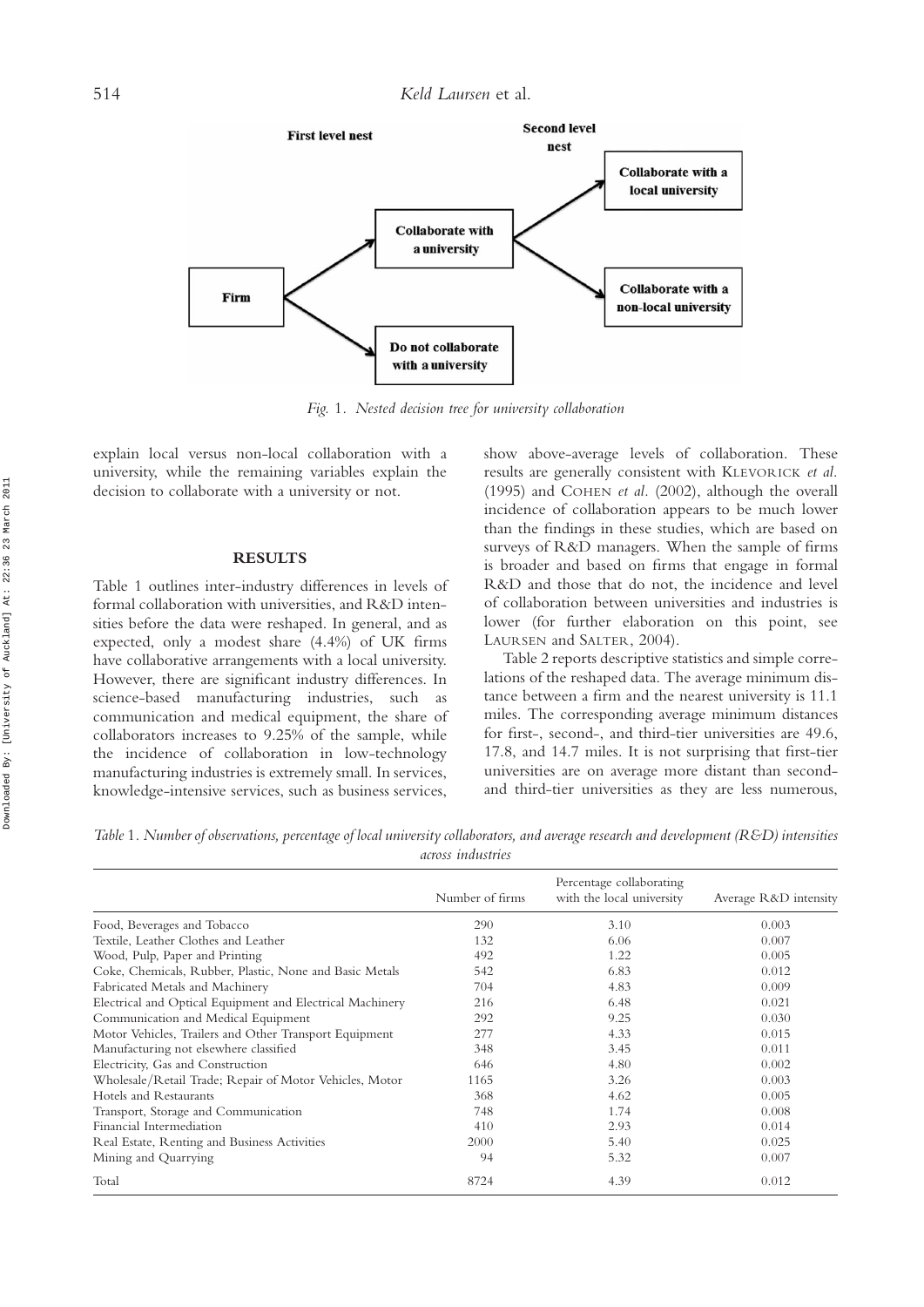

Fig. 1. Nested decision tree for university collaboration

explain local versus non-local collaboration with a university, while the remaining variables explain the decision to collaborate with a university or not.

#### RESULTS

Table 1 outlines inter-industry differences in levels of formal collaboration with universities, and R&D intensities before the data were reshaped. In general, and as expected, only a modest share (4.4%) of UK firms have collaborative arrangements with a local university. However, there are significant industry differences. In science-based manufacturing industries, such as communication and medical equipment, the share of collaborators increases to 9.25% of the sample, while the incidence of collaboration in low-technology manufacturing industries is extremely small. In services, knowledge-intensive services, such as business services,

show above-average levels of collaboration. These results are generally consistent with KLEVORICK et al. (1995) and COHEN et al. (2002), although the overall incidence of collaboration appears to be much lower than the findings in these studies, which are based on surveys of R&D managers. When the sample of firms is broader and based on firms that engage in formal R&D and those that do not, the incidence and level of collaboration between universities and industries is lower (for further elaboration on this point, see LAURSEN and SALTER, 2004).

Table 2 reports descriptive statistics and simple correlations of the reshaped data. The average minimum distance between a firm and the nearest university is 11.1 miles. The corresponding average minimum distances for first-, second-, and third-tier universities are 49.6, 17.8, and 14.7 miles. It is not surprising that first-tier universities are on average more distant than secondand third-tier universities as they are less numerous,

Table 1. Number of observations, percentage of local university collaborators, and average research and development (R&D) intensities across industries

|                                                           |                 | Percentage collaborating  |                       |
|-----------------------------------------------------------|-----------------|---------------------------|-----------------------|
|                                                           | Number of firms | with the local university | Average R&D intensity |
| Food, Beverages and Tobacco                               | 290             | 3.10                      | 0.003                 |
| Textile, Leather Clothes and Leather                      | 132             | 6.06                      | 0.007                 |
| Wood, Pulp, Paper and Printing                            | 492             | 1.22                      | 0.005                 |
| Coke, Chemicals, Rubber, Plastic, None and Basic Metals   | 542             | 6.83                      | 0.012                 |
| Fabricated Metals and Machinery                           | 704             | 4.83                      | 0.009                 |
| Electrical and Optical Equipment and Electrical Machinery | 216             | 6.48                      | 0.021                 |
| Communication and Medical Equipment                       | 292             | 9.25                      | 0.030                 |
| Motor Vehicles, Trailers and Other Transport Equipment    | 277             | 4.33                      | 0.015                 |
| Manufacturing not elsewhere classified                    | 348             | 3.45                      | 0.011                 |
| Electricity, Gas and Construction                         | 646             | 4.80                      | 0.002                 |
| Wholesale/Retail Trade; Repair of Motor Vehicles, Motor   | 1165            | 3.26                      | 0.003                 |
| Hotels and Restaurants                                    | 368             | 4.62                      | 0.005                 |
| Transport, Storage and Communication                      | 748             | 1.74                      | 0.008                 |
| Financial Intermediation                                  | 410             | 2.93                      | 0.014                 |
| Real Estate, Renting and Business Activities              | 2000            | 5.40                      | 0.025                 |
| Mining and Quarrying                                      | 94              | 5.32                      | 0.007                 |
| Total                                                     | 8724            | 4.39                      | 0.012                 |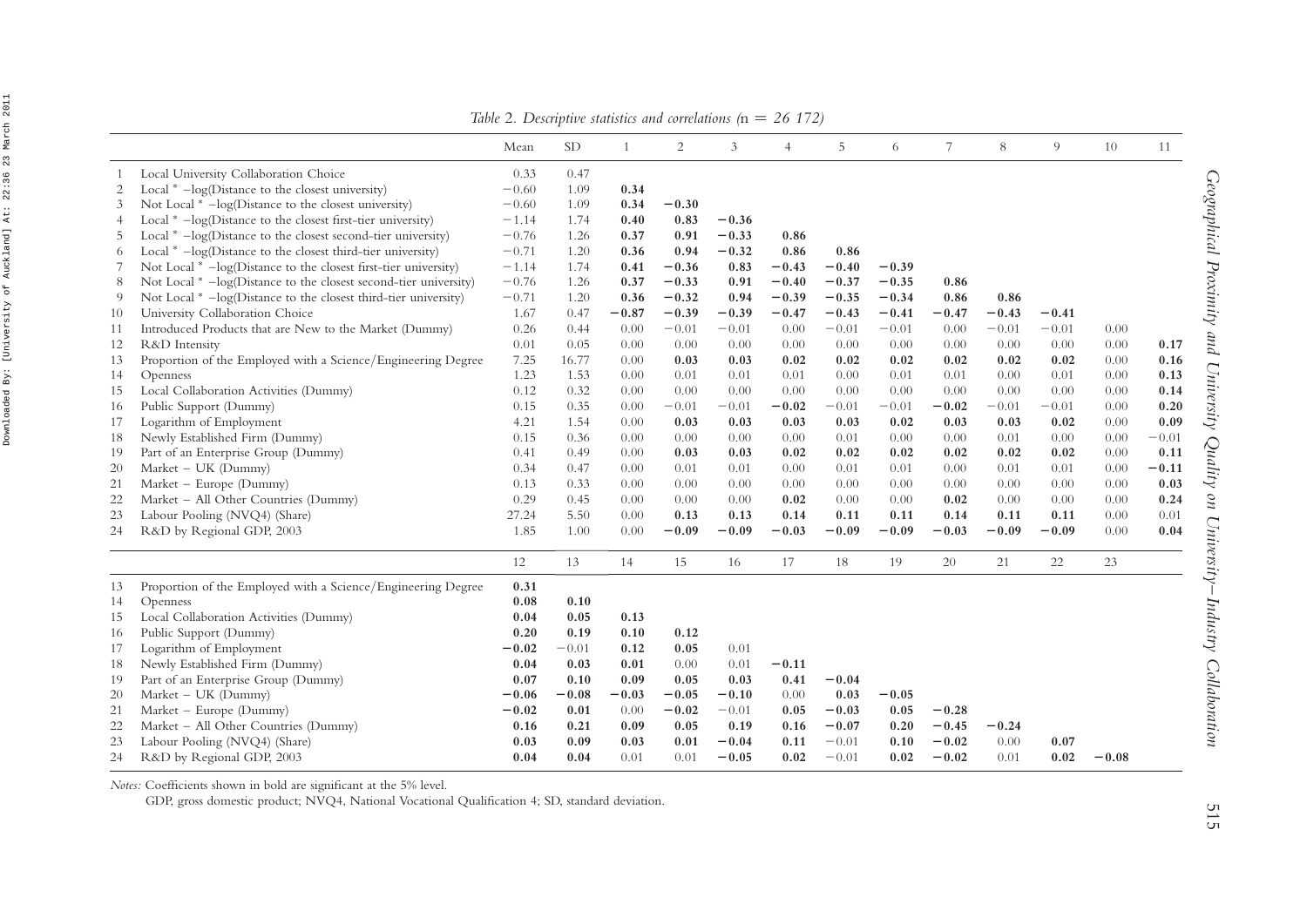|                |                                                                    | Mean    | SD      | 1       | 2       | 3       | $\overline{4}$ | 5       | 6       | 7       | 8       | 9       | 10      | 11      |
|----------------|--------------------------------------------------------------------|---------|---------|---------|---------|---------|----------------|---------|---------|---------|---------|---------|---------|---------|
|                | Local University Collaboration Choice                              | 0.33    | 0.47    |         |         |         |                |         |         |         |         |         |         |         |
| 2              | Local * - log(Distance to the closest university)                  | $-0.60$ | 1.09    | 0.34    |         |         |                |         |         |         |         |         |         |         |
| 3              | Not Local * - log(Distance to the closest university)              | $-0.60$ | 1.09    | 0.34    | $-0.30$ |         |                |         |         |         |         |         |         |         |
| $\overline{4}$ | Local $*$ -log(Distance to the closest first-tier university)      | $-1.14$ | 1.74    | 0.40    | 0.83    | $-0.36$ |                |         |         |         |         |         |         |         |
| 5              | Local * -log(Distance to the closest second-tier university)       | $-0.76$ | 1.26    | 0.37    | 0.91    | $-0.33$ | 0.86           |         |         |         |         |         |         |         |
| 6              | Local * - log(Distance to the closest third-tier university)       | $-0.71$ | 1.20    | 0.36    | 0.94    | $-0.32$ | 0.86           | 0.86    |         |         |         |         |         |         |
| 7              | Not Local * -log(Distance to the closest first-tier university)    | $-1.14$ | 1.74    | 0.41    | $-0.36$ | 0.83    | $-0.43$        | $-0.40$ | $-0.39$ |         |         |         |         |         |
| 8              | Not Local $*$ -log(Distance to the closest second-tier university) | $-0.76$ | 1.26    | 0.37    | $-0.33$ | 0.91    | $-0.40$        | $-0.37$ | $-0.35$ | 0.86    |         |         |         |         |
| 9              | Not Local * -log(Distance to the closest third-tier university)    | $-0.71$ | 1.20    | 0.36    | $-0.32$ | 0.94    | $-0.39$        | $-0.35$ | $-0.34$ | 0.86    | 0.86    |         |         |         |
| 10             | University Collaboration Choice                                    | 1.67    | 0.47    | $-0.87$ | $-0.39$ | $-0.39$ | $-0.47$        | $-0.43$ | $-0.41$ | $-0.47$ | $-0.43$ | $-0.41$ |         |         |
| 11             | Introduced Products that are New to the Market (Dummy)             | 0.26    | 0.44    | 0.00    | $-0.01$ | $-0.01$ | 0.00           | $-0.01$ | $-0.01$ | 0.00    | $-0.01$ | $-0.01$ | 0.00    |         |
| 12             | R&D Intensity                                                      | 0.01    | 0.05    | 0.00    | 0.00    | 0.00    | 0.00           | 0.00    | 0.00    | 0.00    | 0.00    | 0.00    | 0.00    | 0.17    |
| 13             | Proportion of the Employed with a Science/Engineering Degree       | 7.25    | 16.77   | 0.00    | 0.03    | 0.03    | 0.02           | 0.02    | 0.02    | 0.02    | 0.02    | 0.02    | 0.00    | 0.16    |
| 14             | Openness                                                           | 1.23    | 1.53    | 0.00    | 0.01    | 0.01    | 0.01           | 0.00    | 0.01    | 0.01    | 0.00    | 0.01    | 0.00    | 0.13    |
| 15             | Local Collaboration Activities (Dummy)                             | 0.12    | 0.32    | 0.00    | 0.00    | 0.00    | 0.00           | 0.00    | 0.00    | 0.00    | 0.00    | 0.00    | 0.00    | 0.14    |
| 16             | Public Support (Dummy)                                             | 0.15    | 0.35    | 0.00    | $-0.01$ | $-0.01$ | $-0.02$        | $-0.01$ | $-0.01$ | $-0.02$ | $-0.01$ | $-0.01$ | 0.00    | 0.20    |
| 17             | Logarithm of Employment                                            | 4.21    | 1.54    | 0.00    | 0.03    | 0.03    | 0.03           | 0.03    | 0.02    | 0.03    | 0.03    | 0.02    | 0.00    | 0.09    |
| 18             | Newly Established Firm (Dummy)                                     | 0.15    | 0.36    | 0.00    | 0.00    | 0.00    | 0.00           | 0.01    | 0.00    | 0.00    | 0.01    | 0.00    | 0.00    | $-0.01$ |
| 19             | Part of an Enterprise Group (Dummy)                                | 0.41    | 0.49    | 0.00    | 0.03    | 0.03    | 0.02           | 0.02    | 0.02    | 0.02    | 0.02    | 0.02    | 0.00    | 0.11    |
| 20             | Market - UK (Dummy)                                                | 0.34    | 0.47    | 0.00    | 0.01    | 0.01    | 0.00           | 0.01    | 0.01    | 0.00    | 0.01    | 0.01    | 0.00    | $-0.11$ |
| 21             | Market - Europe (Dummy)                                            | 0.13    | 0.33    | 0.00    | 0.00    | 0.00    | 0.00           | 0.00    | 0.00    | 0.00    | 0.00    | 0.00    | 0.00    | 0.03    |
| 22             | Market - All Other Countries (Dummy)                               | 0.29    | 0.45    | 0.00    | 0.00    | 0.00    | 0.02           | 0.00    | 0.00    | 0.02    | 0.00    | 0.00    | 0.00    | 0.24    |
| 23             | Labour Pooling (NVQ4) (Share)                                      | 27.24   | 5.50    | 0.00    | 0.13    | 0.13    | 0.14           | 0.11    | 0.11    | 0.14    | 0.11    | 0.11    | 0.00    | 0.01    |
| 24             | R&D by Regional GDP, 2003                                          | 1.85    | 1.00    | 0.00    | $-0.09$ | $-0.09$ | $-0.03$        | $-0.09$ | $-0.09$ | $-0.03$ | $-0.09$ | $-0.09$ | 0.00    | 0.04    |
|                |                                                                    | 12      | 13      | 14      | 15      | 16      | 17             | 18      | 19      | 20      | 21      | 22      | 23      |         |
| 13             | Proportion of the Employed with a Science/Engineering Degree       | 0.31    |         |         |         |         |                |         |         |         |         |         |         |         |
| 14             | Openness                                                           | 0.08    | 0.10    |         |         |         |                |         |         |         |         |         |         |         |
| 15             | Local Collaboration Activities (Dummy)                             | 0.04    | 0.05    | 0.13    |         |         |                |         |         |         |         |         |         |         |
| 16             | Public Support (Dummy)                                             | 0.20    | 0.19    | 0.10    | 0.12    |         |                |         |         |         |         |         |         |         |
| 17             | Logarithm of Employment                                            | $-0.02$ | $-0.01$ | 0.12    | 0.05    | 0.01    |                |         |         |         |         |         |         |         |
| 18             | Newly Established Firm (Dummy)                                     | 0.04    | 0.03    | 0.01    | 0.00    | 0.01    | $-0.11$        |         |         |         |         |         |         |         |
| 19             | Part of an Enterprise Group (Dummy)                                | 0.07    | 0.10    | 0.09    | 0.05    | 0.03    | 0.41           | $-0.04$ |         |         |         |         |         |         |
| 20             | Market - UK (Dummy)                                                | $-0.06$ | $-0.08$ | $-0.03$ | $-0.05$ | $-0.10$ | 0.00           | 0.03    | $-0.05$ |         |         |         |         |         |
| 21             | Market - Europe (Dummy)                                            | $-0.02$ | 0.01    | 0.00    | $-0.02$ | $-0.01$ | 0.05           | $-0.03$ | 0.05    | $-0.28$ |         |         |         |         |
| 22             | Market - All Other Countries (Dummy)                               | 0.16    | 0.21    | 0.09    | 0.05    | 0.19    | 0.16           | $-0.07$ | 0.20    | $-0.45$ | $-0.24$ |         |         |         |
| 23             | Labour Pooling (NVQ4) (Share)                                      | 0.03    | 0.09    | 0.03    | 0.01    | $-0.04$ | 0.11           | $-0.01$ | 0.10    | $-0.02$ | 0.00    | 0.07    |         |         |
| 24             | R&D by Regional GDP, 2003                                          | 0.04    | 0.04    | 0.01    | 0.01    | $-0.05$ | 0.02           | $-0.01$ | 0.02    | $-0.02$ | 0.01    | 0.02    | $-0.08$ |         |

Table 2. Descriptive statistics and correlations ( $\mathrm{n}=$  26 172)

Notes: Coefficients shown in bold are significant at the 5% level.

GDP, gross domestic product; NVQ4, National Vocational Qualification 4; SD, standard deviation.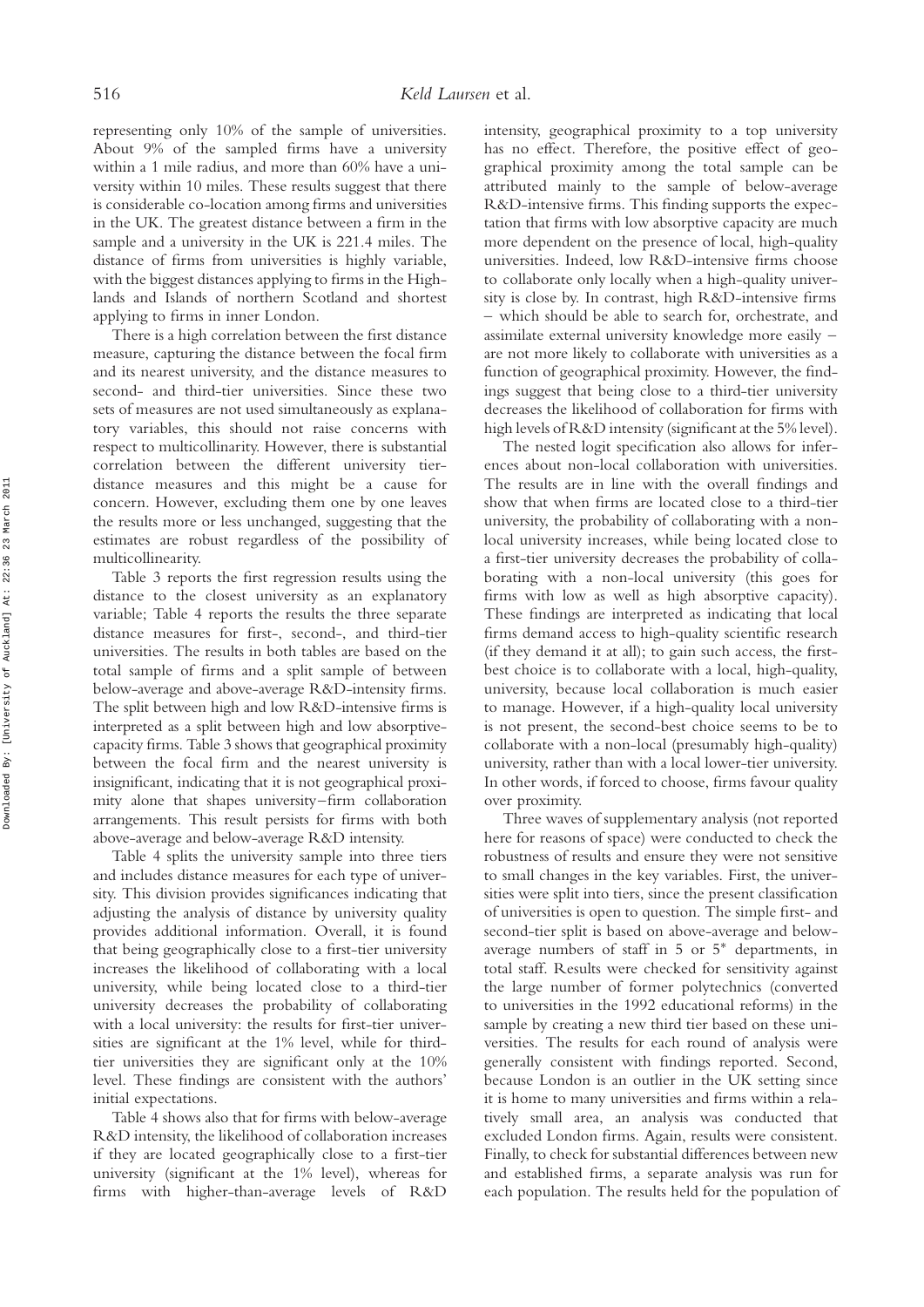representing only 10% of the sample of universities. About 9% of the sampled firms have a university within a 1 mile radius, and more than 60% have a university within 10 miles. These results suggest that there is considerable co-location among firms and universities in the UK. The greatest distance between a firm in the sample and a university in the UK is 221.4 miles. The distance of firms from universities is highly variable, with the biggest distances applying to firms in the Highlands and Islands of northern Scotland and shortest applying to firms in inner London.

There is a high correlation between the first distance measure, capturing the distance between the focal firm and its nearest university, and the distance measures to second- and third-tier universities. Since these two sets of measures are not used simultaneously as explanatory variables, this should not raise concerns with respect to multicollinarity. However, there is substantial correlation between the different university tierdistance measures and this might be a cause for concern. However, excluding them one by one leaves the results more or less unchanged, suggesting that the estimates are robust regardless of the possibility of multicollinearity.

Table 3 reports the first regression results using the distance to the closest university as an explanatory variable; Table 4 reports the results the three separate distance measures for first-, second-, and third-tier universities. The results in both tables are based on the total sample of firms and a split sample of between below-average and above-average R&D-intensity firms. The split between high and low R&D-intensive firms is interpreted as a split between high and low absorptivecapacity firms. Table 3 shows that geographical proximity between the focal firm and the nearest university is insignificant, indicating that it is not geographical proximity alone that shapes university–firm collaboration arrangements. This result persists for firms with both above-average and below-average R&D intensity.

Table 4 splits the university sample into three tiers and includes distance measures for each type of university. This division provides significances indicating that adjusting the analysis of distance by university quality provides additional information. Overall, it is found that being geographically close to a first-tier university increases the likelihood of collaborating with a local university, while being located close to a third-tier university decreases the probability of collaborating with a local university: the results for first-tier universities are significant at the 1% level, while for thirdtier universities they are significant only at the 10% level. These findings are consistent with the authors' initial expectations.

Table 4 shows also that for firms with below-average R&D intensity, the likelihood of collaboration increases if they are located geographically close to a first-tier university (significant at the 1% level), whereas for firms with higher-than-average levels of R&D intensity, geographical proximity to a top university has no effect. Therefore, the positive effect of geographical proximity among the total sample can be attributed mainly to the sample of below-average R&D-intensive firms. This finding supports the expectation that firms with low absorptive capacity are much more dependent on the presence of local, high-quality universities. Indeed, low R&D-intensive firms choose to collaborate only locally when a high-quality university is close by. In contrast, high R&D-intensive firms – which should be able to search for, orchestrate, and assimilate external university knowledge more easily – are not more likely to collaborate with universities as a function of geographical proximity. However, the findings suggest that being close to a third-tier university decreases the likelihood of collaboration for firms with high levels of R&D intensity (significant at the 5% level).

The nested logit specification also allows for inferences about non-local collaboration with universities. The results are in line with the overall findings and show that when firms are located close to a third-tier university, the probability of collaborating with a nonlocal university increases, while being located close to a first-tier university decreases the probability of collaborating with a non-local university (this goes for firms with low as well as high absorptive capacity). These findings are interpreted as indicating that local firms demand access to high-quality scientific research (if they demand it at all); to gain such access, the firstbest choice is to collaborate with a local, high-quality, university, because local collaboration is much easier to manage. However, if a high-quality local university is not present, the second-best choice seems to be to collaborate with a non-local (presumably high-quality) university, rather than with a local lower-tier university. In other words, if forced to choose, firms favour quality over proximity.

Three waves of supplementary analysis (not reported here for reasons of space) were conducted to check the robustness of results and ensure they were not sensitive to small changes in the key variables. First, the universities were split into tiers, since the present classification of universities is open to question. The simple first- and second-tier split is based on above-average and belowaverage numbers of staff in  $5$  or  $5^*$  departments, in total staff. Results were checked for sensitivity against the large number of former polytechnics (converted to universities in the 1992 educational reforms) in the sample by creating a new third tier based on these universities. The results for each round of analysis were generally consistent with findings reported. Second, because London is an outlier in the UK setting since it is home to many universities and firms within a relatively small area, an analysis was conducted that excluded London firms. Again, results were consistent. Finally, to check for substantial differences between new and established firms, a separate analysis was run for each population. The results held for the population of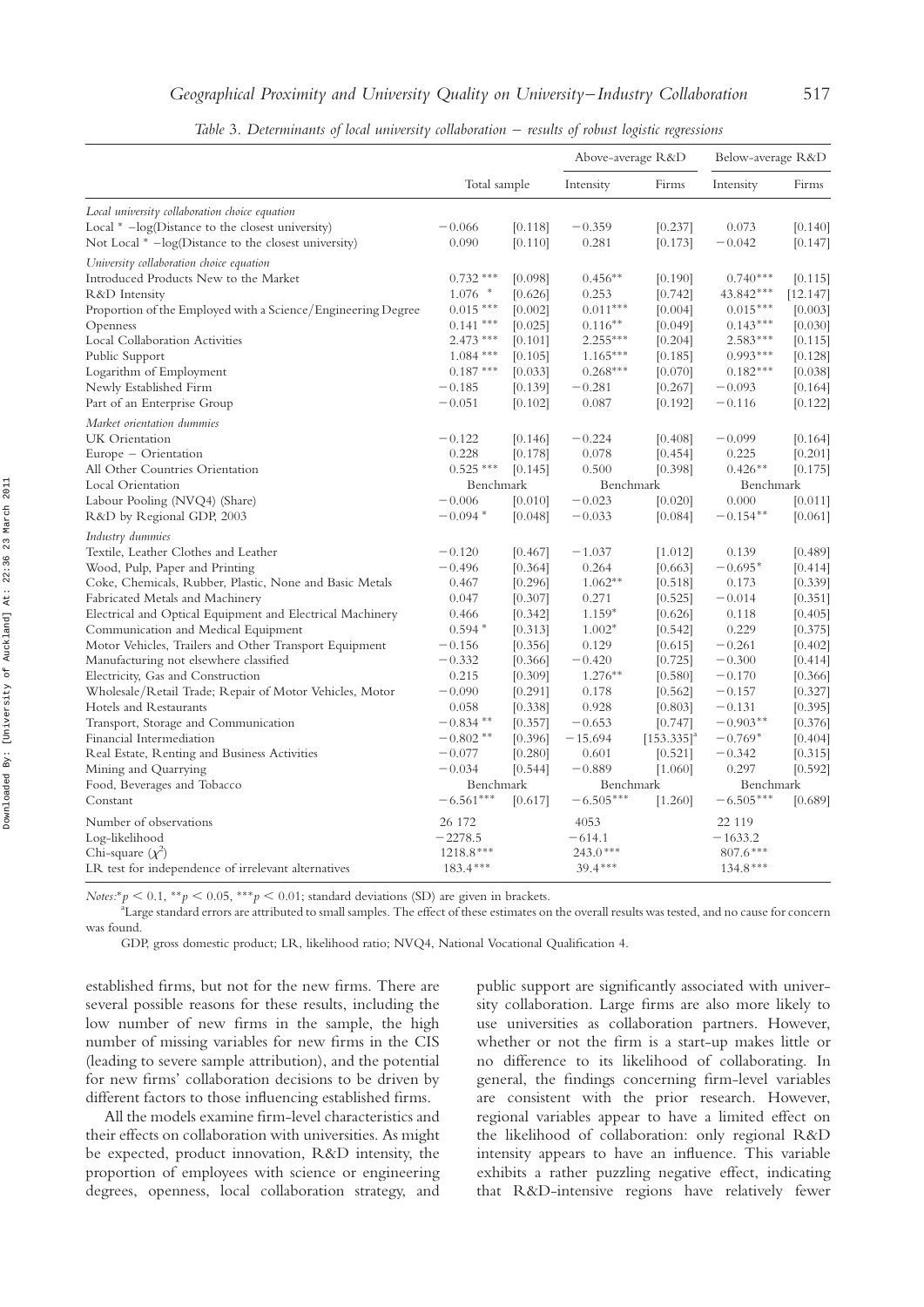| Table 3. Determinants of local university collaboration – results of robust logistic regressions |  |  |  |  |
|--------------------------------------------------------------------------------------------------|--|--|--|--|
|                                                                                                  |  |  |  |  |

|                                                              |                       |                    | Above-average R&D    |                          | Below-average R&D   |                    |  |
|--------------------------------------------------------------|-----------------------|--------------------|----------------------|--------------------------|---------------------|--------------------|--|
|                                                              | Total sample          |                    | Intensity            | Firms                    | Intensity           | Firms              |  |
| Local university collaboration choice equation               |                       |                    |                      |                          |                     |                    |  |
| Local $*$ $-\log(D)$ istance to the closest university)      | $-0.066$              | [0.118]            | $-0.359$             | [0.237]                  | 0.073               | [0.140]            |  |
| Not Local * -log(Distance to the closest university)         | 0.090                 | [0.110]            | 0.281                | [0.173]                  | $-0.042$            | [0.147]            |  |
| University collaboration choice equation                     |                       |                    |                      |                          |                     |                    |  |
| Introduced Products New to the Market                        | $0.732$ ***           | [0.098]            | $0.456**$            | [0.190]                  | $0.740***$          | [0.115]            |  |
| R&D Intensity                                                | $1.076$ *             | [0.626]            | 0.253                | [0.742]                  | 43.842***           | [12.147]           |  |
| Proportion of the Employed with a Science/Engineering Degree | $0.015***$            | [0.002]            | $0.011***$           | [0.004]                  | $0.015***$          | [0.003]            |  |
| Openness                                                     | $0.141$ ***           | [0.025]            | $0.116**$            | [0.049]                  | $0.143***$          | [0.030]            |  |
| Local Collaboration Activities                               | $2.473$ ***           | [0.101]            | $2.255***$           | [0.204]                  | $2.583***$          | [0.115]            |  |
| Public Support                                               | $1.084***$            | [0.105]            | $1.165***$           | [0.185]                  | $0.993***$          | [0.128]            |  |
| Logarithm of Employment                                      | $0.187***$            | [0.033]            | $0.268***$           | [0.070]                  | $0.182***$          | [0.038]            |  |
| Newly Established Firm                                       | $-0.185$              | [0.139]            | $-0.281$             | [0.267]                  | $-0.093$            | [0.164]            |  |
| Part of an Enterprise Group                                  | $-0.051$              | [0.102]            | 0.087                | [0.192]                  | $-0.116$            | [0.122]            |  |
| Market orientation dummies                                   |                       |                    |                      |                          |                     |                    |  |
| UK Orientation                                               |                       |                    |                      |                          |                     |                    |  |
|                                                              | $-0.122$<br>0.228     | [0.146]            | $-0.224$<br>0.078    | [0.408]                  | $-0.099$            | [0.164]            |  |
| Europe - Orientation<br>All Other Countries Orientation      | $0.525***$            | [0.178]            | 0.500                | [0.454]                  | 0.225<br>$0.426**$  | [0.201]            |  |
|                                                              |                       | [0.145]            |                      | [0.398]                  |                     | [0.175]            |  |
| Local Orientation                                            | Benchmark             |                    | Benchmark            |                          | Benchmark           |                    |  |
| Labour Pooling (NVQ4) (Share)<br>R&D by Regional GDP, 2003   | $-0.006$<br>$-0.094*$ | [0.010]<br>[0.048] | $-0.023$<br>$-0.033$ | [0.020]                  | 0.000<br>$-0.154**$ | [0.011]<br>[0.061] |  |
|                                                              |                       |                    |                      | [0.084]                  |                     |                    |  |
| Industry dummies                                             |                       |                    |                      |                          |                     |                    |  |
| Textile, Leather Clothes and Leather                         | $-0.120$              | [0.467]            | $-1.037$             | [1.012]                  | 0.139               | [0.489]            |  |
| Wood, Pulp, Paper and Printing                               | $-0.496$              | [0.364]            | 0.264                | [0.663]                  | $-0.695*$           | [0.414]            |  |
| Coke, Chemicals, Rubber, Plastic, None and Basic Metals      | 0.467                 | [0.296]            | $1.062**$            | [0.518]                  | 0.173               | [0.339]            |  |
| Fabricated Metals and Machinery                              | 0.047                 | [0.307]            | 0.271                | [0.525]                  | $-0.014$            | [0.351]            |  |
| Electrical and Optical Equipment and Electrical Machinery    | 0.466                 | [0.342]            | 1.159*               | [0.626]                  | 0.118               | [0.405]            |  |
| Communication and Medical Equipment                          | $0.594*$              | [0.313]            | $1.002*$             | [0.542]                  | 0.229               | [0.375]            |  |
| Motor Vehicles, Trailers and Other Transport Equipment       | $-0.156$              | [0.356]            | 0.129                | [0.615]                  | $-0.261$            | [0.402]            |  |
| Manufacturing not elsewhere classified                       | $-0.332$              | [0.366]            | $-0.420$             | [0.725]                  | $-0.300$            | [0.414]            |  |
| Electricity, Gas and Construction                            | 0.215                 | [0.309]            | $1.276**$            | [0.580]                  | $-0.170$            | [0.366]            |  |
| Wholesale/Retail Trade; Repair of Motor Vehicles, Motor      | $-0.090$              | [0.291]            | 0.178                | [0.562]                  | $-0.157$            | [0.327]            |  |
| Hotels and Restaurants                                       | 0.058                 | [0.338]            | 0.928                | [0.803]                  | $-0.131$            | [0.395]            |  |
| Transport, Storage and Communication                         | $-0.834**$            | [0.357]            | $-0.653$             | [0.747]                  | $-0.903**$          | [0.376]            |  |
| Financial Intermediation                                     | $-0.802**$            | [0.396]            | $-15.694$            | $[153.335]$ <sup>a</sup> | $-0.769*$           | [0.404]            |  |
| Real Estate, Renting and Business Activities                 | $-0.077$              | [0.280]            | 0.601                | [0.521]                  | $-0.342$            | [0.315]            |  |
| Mining and Quarrying                                         | $-0.034$              | [0.544]            | $-0.889$             | [1.060]                  | 0.297               | [0.592]            |  |
| Food, Beverages and Tobacco                                  | Benchmark             |                    | Benchmark            |                          | Benchmark           |                    |  |
| Constant                                                     | $-6.561***$           | [0.617]            | $-6.505***$          | [1.260]                  | $-6.505***$         | [0.689]            |  |
| Number of observations                                       | 26 172                |                    | 4053                 |                          | 22 119              |                    |  |
| Log-likelihood                                               | $-2278.5$             |                    | $-614.1$             |                          | $-1633.2$           |                    |  |
| Chi-square $(\chi^2)$                                        | $1218.8***$           |                    | 243.0***             |                          | 807.6***            |                    |  |
| LR test for independence of irrelevant alternatives          | 183.4***              |                    | $39.4***$            |                          | $134.8***$          |                    |  |
|                                                              |                       |                    |                      |                          |                     |                    |  |

 $Notes: {^*p} < 0.1, {^{**}p} < 0.05, {^{***}p} < 0.01;$  standard deviations (SD) are given in brackets.

<sup>a</sup>Large standard errors are attributed to small samples. The effect of these estimates on the overall results was tested, and no cause for concern was found.

GDP, gross domestic product; LR, likelihood ratio; NVQ4, National Vocational Qualification 4.

established firms, but not for the new firms. There are several possible reasons for these results, including the low number of new firms in the sample, the high number of missing variables for new firms in the CIS (leading to severe sample attribution), and the potential for new firms' collaboration decisions to be driven by different factors to those influencing established firms.

All the models examine firm-level characteristics and their effects on collaboration with universities. As might be expected, product innovation, R&D intensity, the proportion of employees with science or engineering degrees, openness, local collaboration strategy, and public support are significantly associated with university collaboration. Large firms are also more likely to use universities as collaboration partners. However, whether or not the firm is a start-up makes little or no difference to its likelihood of collaborating. In general, the findings concerning firm-level variables are consistent with the prior research. However, regional variables appear to have a limited effect on the likelihood of collaboration: only regional R&D intensity appears to have an influence. This variable exhibits a rather puzzling negative effect, indicating that R&D-intensive regions have relatively fewer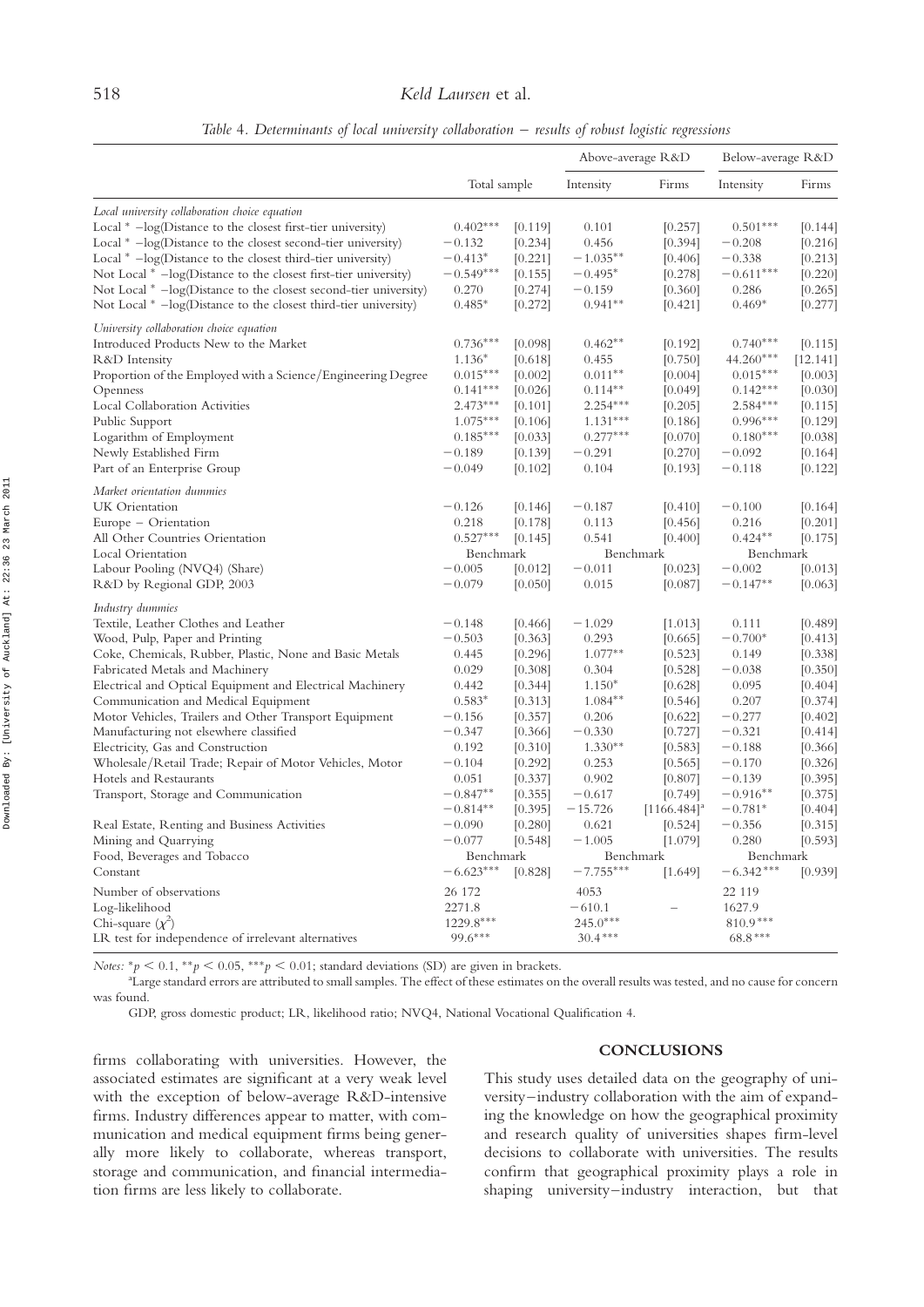## 518 Keld Laursen et al.

Table 4. Determinants of local university collaboration – results of robust logistic regressions

|                                                                     |              |         | Above-average R&D |                           | Below-average R&D |          |  |
|---------------------------------------------------------------------|--------------|---------|-------------------|---------------------------|-------------------|----------|--|
|                                                                     | Total sample |         | Intensity         | Firms                     | Intensity         | Firms    |  |
| Local university collaboration choice equation                      |              |         |                   |                           |                   |          |  |
| Local $*$ -log(Distance to the closest first-tier university)       | $0.402***$   | [0.119] | 0.101             | [0.257]                   | $0.501***$        | [0.144]  |  |
| Local $*$ $-\log(D)$ istance to the closest second-tier university) | $-0.132$     | [0.234] | 0.456             | [0.394]                   | $-0.208$          | [0.216]  |  |
| Local $*$ -log(Distance to the closest third-tier university)       | $-0.413*$    | [0.221] | $-1.035**$        | [0.406]                   | $-0.338$          | [0.213]  |  |
| Not Local $*$ -log(Distance to the closest first-tier university)   | $-0.549***$  | [0.155] | $-0.495*$         | [0.278]                   | $-0.611***$       | [0.220]  |  |
| Not Local $*$ -log(Distance to the closest second-tier university)  | 0.270        | [0.274] | $-0.159$          | [0.360]                   | 0.286             | [0.265]  |  |
| Not Local * - log(Distance to the closest third-tier university)    | $0.485*$     | [0.272] | $0.941**$         | [0.421]                   | $0.469*$          | [0.277]  |  |
| University collaboration choice equation                            |              |         |                   |                           |                   |          |  |
| Introduced Products New to the Market                               | $0.736***$   | [0.098] | $0.462**$         | [0.192]                   | $0.740***$        | [0.115]  |  |
| R&D Intensity                                                       | $1.136*$     | [0.618] | 0.455             | [0.750]                   | 44.260***         | [12.141] |  |
| Proportion of the Employed with a Science/Engineering Degree        | $0.015***$   | [0.002] | $0.011**$         | [0.004]                   | $0.015***$        | [0.003]  |  |
| Openness                                                            | $0.141***$   | [0.026] | $0.114**$         | [0.049]                   | $0.142***$        | [0.030]  |  |
| Local Collaboration Activities                                      | $2.473***$   | [0.101] | $2.254***$        | [0.205]                   | $2.584***$        | [0.115]  |  |
| Public Support                                                      | $1.075***$   | [0.106] | $1.131***$        | [0.186]                   | $0.996***$        | [0.129]  |  |
| Logarithm of Employment                                             | $0.185***$   | [0.033] | $0.277***$        | [0.070]                   | $0.180***$        | [0.038]  |  |
| Newly Established Firm                                              | $-0.189$     | [0.139] | $-0.291$          | [0.270]                   | $-0.092$          | [0.164]  |  |
| Part of an Enterprise Group                                         | $-0.049$     | [0.102] | 0.104             | [0.193]                   | $-0.118$          | [0.122]  |  |
| Market orientation dummies                                          |              |         |                   |                           |                   |          |  |
| UK Orientation                                                      | $-0.126$     | [0.146] | $-0.187$          | [0.410]                   | $-0.100$          | [0.164]  |  |
| Europe - Orientation                                                | 0.218        | [0.178] | 0.113             | [0.456]                   | 0.216             | [0.201]  |  |
| All Other Countries Orientation                                     | $0.527***$   | [0.145] | 0.541             | [0.400]                   | $0.424**$         | [0.175]  |  |
| Local Orientation                                                   | Benchmark    |         | Benchmark         |                           | Benchmark         |          |  |
| Labour Pooling (NVQ4) (Share)                                       | $-0.005$     | [0.012] | $-0.011$          | [0.023]                   | $-0.002$          | [0.013]  |  |
| R&D by Regional GDP, 2003                                           | $-0.079$     | [0.050] | 0.015             | [0.087]                   | $-0.147**$        | [0.063]  |  |
| Industry dummies                                                    |              |         |                   |                           |                   |          |  |
| Textile, Leather Clothes and Leather                                | $-0.148$     | [0.466] | $-1.029$          | [1.013]                   | 0.111             | [0.489]  |  |
| Wood, Pulp, Paper and Printing                                      | $-0.503$     | [0.363] | 0.293             | [0.665]                   | $-0.700*$         | [0.413]  |  |
| Coke, Chemicals, Rubber, Plastic, None and Basic Metals             | 0.445        | [0.296] | $1.077**$         | [0.523]                   | 0.149             | [0.338]  |  |
| Fabricated Metals and Machinery                                     | 0.029        | [0.308] | 0.304             | [0.528]                   | $-0.038$          | [0.350]  |  |
| Electrical and Optical Equipment and Electrical Machinery           | 0.442        | [0.344] | $1.150*$          | [0.628]                   | 0.095             | [0.404]  |  |
| Communication and Medical Equipment                                 | $0.583*$     | [0.313] | $1.084**$         | [0.546]                   | 0.207             | [0.374]  |  |
| Motor Vehicles, Trailers and Other Transport Equipment              | $-0.156$     | [0.357] | 0.206             | [0.622]                   | $-0.277$          | [0.402]  |  |
| Manufacturing not elsewhere classified                              | $-0.347$     | [0.366] | $-0.330$          | [0.727]                   | $-0.321$          | [0.414]  |  |
| Electricity, Gas and Construction                                   | 0.192        | [0.310] | $1.330**$         | [0.583]                   | $-0.188$          | [0.366]  |  |
| Wholesale/Retail Trade; Repair of Motor Vehicles, Motor             | $-0.104$     | [0.292] | 0.253             | [0.565]                   | $-0.170$          | [0.326]  |  |
| Hotels and Restaurants                                              | 0.051        | [0.337] | 0.902             | [0.807]                   | $-0.139$          | [0.395]  |  |
| Transport, Storage and Communication                                | $-0.847**$   | [0.355] | $-0.617$          | [0.749]                   | $-0.916**$        | [0.375]  |  |
|                                                                     | $-0.814**$   | [0.395] | $-15.726$         | $[1166.484]$ <sup>a</sup> | $-0.781*$         | [0.404]  |  |
| Real Estate, Renting and Business Activities                        | $-0.090$     | [0.280] | 0.621             | [0.524]                   | $-0.356$          | [0.315]  |  |
| Mining and Quarrying                                                | $-0.077$     | [0.548] | $-1.005$          | [1.079]                   | 0.280             | [0.593]  |  |
| Food, Beverages and Tobacco                                         | Benchmark    |         | Benchmark         |                           | Benchmark         |          |  |
| Constant                                                            | $-6.623***$  | [0.828] | $-7.755***$       | [1.649]                   | $-6.342***$       | [0.939]  |  |
| Number of observations                                              | 26 172       |         | 4053              |                           | 22 119            |          |  |
| Log-likelihood                                                      | 2271.8       |         | $-610.1$          |                           | 1627.9            |          |  |
| Chi-square $(\chi^2)$                                               | 1229.8***    |         | $245.0***$        |                           | 810.9***          |          |  |
| LR test for independence of irrelevant alternatives                 | 99.6***      |         | $30.4***$         |                           | $68.8***$         |          |  |

Notes:  ${}^*p < 0.1, {}^{**}p < 0.05, {}^{***}p < 0.01$ ; standard deviations (SD) are given in brackets.

<sup>a</sup>Large standard errors are attributed to small samples. The effect of these estimates on the overall results was tested, and no cause for concern was found.

GDP, gross domestic product; LR, likelihood ratio; NVQ4, National Vocational Qualification 4.

firms collaborating with universities. However, the associated estimates are significant at a very weak level with the exception of below-average R&D-intensive firms. Industry differences appear to matter, with communication and medical equipment firms being generally more likely to collaborate, whereas transport, storage and communication, and financial intermediation firms are less likely to collaborate.

#### **CONCLUSIONS**

This study uses detailed data on the geography of university–industry collaboration with the aim of expanding the knowledge on how the geographical proximity and research quality of universities shapes firm-level decisions to collaborate with universities. The results confirm that geographical proximity plays a role in shaping university–industry interaction, but that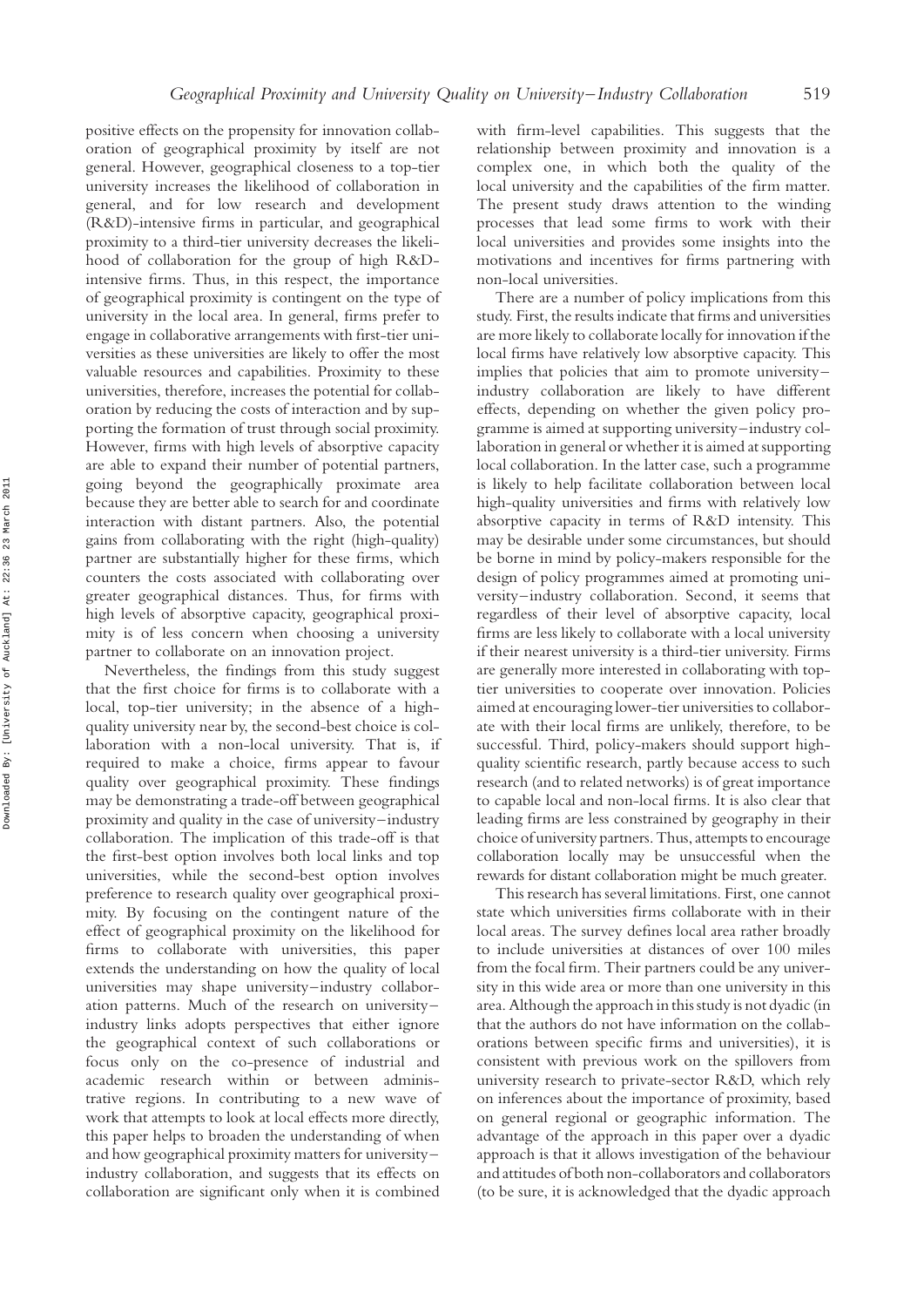positive effects on the propensity for innovation collaboration of geographical proximity by itself are not general. However, geographical closeness to a top-tier university increases the likelihood of collaboration in general, and for low research and development (R&D)-intensive firms in particular, and geographical proximity to a third-tier university decreases the likelihood of collaboration for the group of high R&Dintensive firms. Thus, in this respect, the importance of geographical proximity is contingent on the type of university in the local area. In general, firms prefer to engage in collaborative arrangements with first-tier universities as these universities are likely to offer the most valuable resources and capabilities. Proximity to these universities, therefore, increases the potential for collaboration by reducing the costs of interaction and by supporting the formation of trust through social proximity. However, firms with high levels of absorptive capacity are able to expand their number of potential partners, going beyond the geographically proximate area because they are better able to search for and coordinate interaction with distant partners. Also, the potential gains from collaborating with the right (high-quality) partner are substantially higher for these firms, which counters the costs associated with collaborating over greater geographical distances. Thus, for firms with high levels of absorptive capacity, geographical proximity is of less concern when choosing a university partner to collaborate on an innovation project.

Nevertheless, the findings from this study suggest that the first choice for firms is to collaborate with a local, top-tier university; in the absence of a highquality university near by, the second-best choice is collaboration with a non-local university. That is, if required to make a choice, firms appear to favour quality over geographical proximity. These findings may be demonstrating a trade-off between geographical proximity and quality in the case of university–industry collaboration. The implication of this trade-off is that the first-best option involves both local links and top universities, while the second-best option involves preference to research quality over geographical proximity. By focusing on the contingent nature of the effect of geographical proximity on the likelihood for firms to collaborate with universities, this paper extends the understanding on how the quality of local universities may shape university–industry collaboration patterns. Much of the research on university– industry links adopts perspectives that either ignore the geographical context of such collaborations or focus only on the co-presence of industrial and academic research within or between administrative regions. In contributing to a new wave of work that attempts to look at local effects more directly, this paper helps to broaden the understanding of when and how geographical proximity matters for university– industry collaboration, and suggests that its effects on collaboration are significant only when it is combined

with firm-level capabilities. This suggests that the relationship between proximity and innovation is a complex one, in which both the quality of the local university and the capabilities of the firm matter. The present study draws attention to the winding processes that lead some firms to work with their local universities and provides some insights into the motivations and incentives for firms partnering with non-local universities.

There are a number of policy implications from this study. First, the results indicate that firms and universities are more likely to collaborate locally for innovation if the local firms have relatively low absorptive capacity. This implies that policies that aim to promote university– industry collaboration are likely to have different effects, depending on whether the given policy programme is aimed at supporting university–industry collaboration in general or whether it is aimed at supporting local collaboration. In the latter case, such a programme is likely to help facilitate collaboration between local high-quality universities and firms with relatively low absorptive capacity in terms of R&D intensity. This may be desirable under some circumstances, but should be borne in mind by policy-makers responsible for the design of policy programmes aimed at promoting university–industry collaboration. Second, it seems that regardless of their level of absorptive capacity, local firms are less likely to collaborate with a local university if their nearest university is a third-tier university. Firms are generally more interested in collaborating with toptier universities to cooperate over innovation. Policies aimed at encouraging lower-tier universities to collaborate with their local firms are unlikely, therefore, to be successful. Third, policy-makers should support highquality scientific research, partly because access to such research (and to related networks) is of great importance to capable local and non-local firms. It is also clear that leading firms are less constrained by geography in their choice of university partners. Thus, attempts to encourage collaboration locally may be unsuccessful when the rewards for distant collaboration might be much greater.

This research has several limitations. First, one cannot state which universities firms collaborate with in their local areas. The survey defines local area rather broadly to include universities at distances of over 100 miles from the focal firm. Their partners could be any university in this wide area or more than one university in this area. Although the approach in this study is not dyadic (in that the authors do not have information on the collaborations between specific firms and universities), it is consistent with previous work on the spillovers from university research to private-sector R&D, which rely on inferences about the importance of proximity, based on general regional or geographic information. The advantage of the approach in this paper over a dyadic approach is that it allows investigation of the behaviour and attitudes of both non-collaborators and collaborators (to be sure, it is acknowledged that the dyadic approach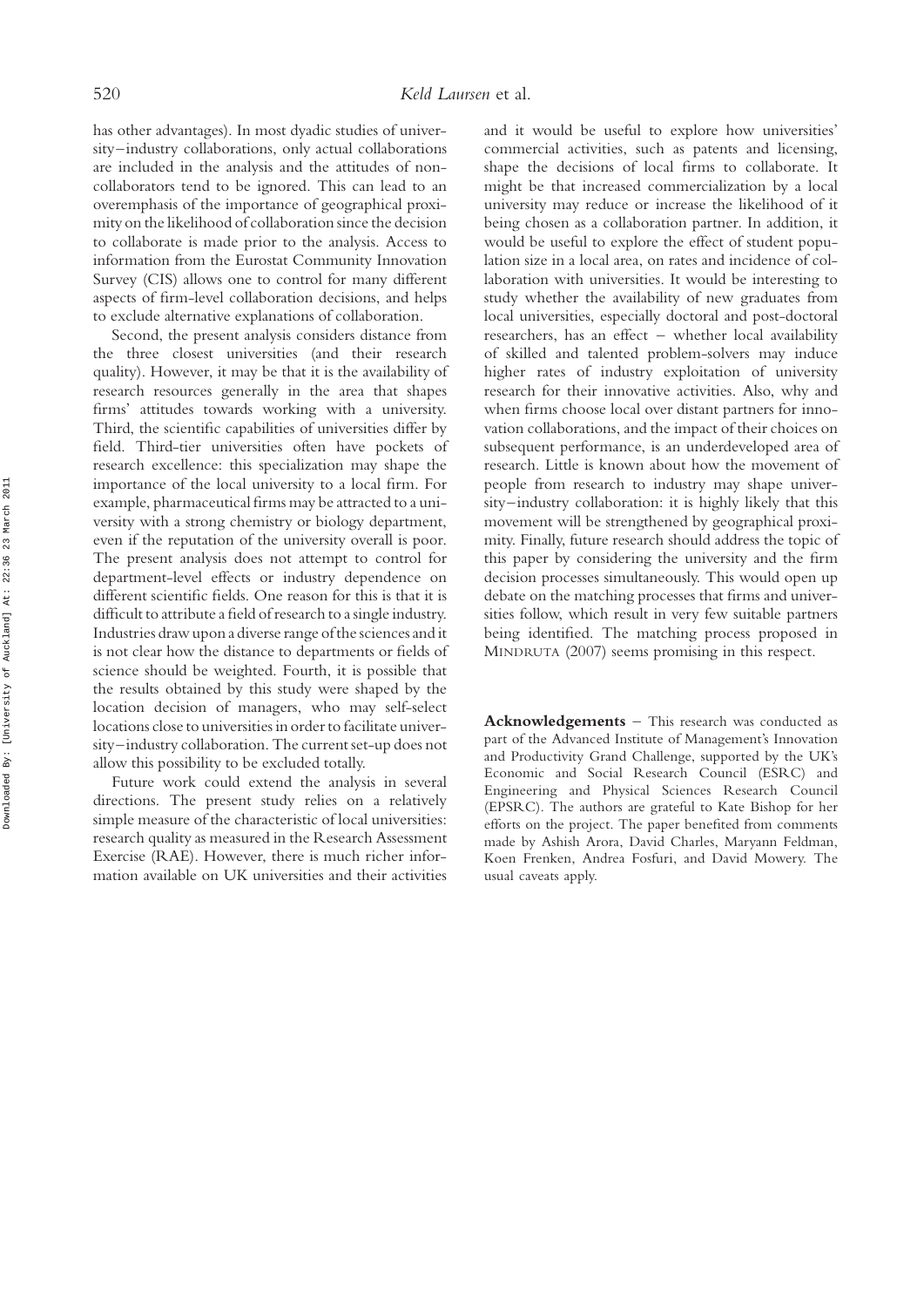has other advantages). In most dyadic studies of university–industry collaborations, only actual collaborations are included in the analysis and the attitudes of noncollaborators tend to be ignored. This can lead to an overemphasis of the importance of geographical proximityon the likelihood of collaboration since the decision to collaborate is made prior to the analysis. Access to information from the Eurostat Community Innovation Survey (CIS) allows one to control for many different aspects of firm-level collaboration decisions, and helps to exclude alternative explanations of collaboration.

Second, the present analysis considers distance from the three closest universities (and their research quality). However, it may be that it is the availability of research resources generally in the area that shapes firms' attitudes towards working with a university. Third, the scientific capabilities of universities differ by field. Third-tier universities often have pockets of research excellence: this specialization may shape the importance of the local university to a local firm. For example, pharmaceutical firms may be attracted to a university with a strong chemistry or biology department, even if the reputation of the university overall is poor. The present analysis does not attempt to control for department-level effects or industry dependence on different scientific fields. One reason for this is that it is difficult to attribute a field of research to a single industry. Industries draw upon a diverse range of the sciences and it is not clear how the distance to departments or fields of science should be weighted. Fourth, it is possible that the results obtained by this study were shaped by the location decision of managers, who may self-select locations close to universities in order to facilitate university–industry collaboration. The current set-up does not allow this possibility to be excluded totally.

Future work could extend the analysis in several directions. The present study relies on a relatively simple measure of the characteristic of local universities: research quality as measured in the Research Assessment Exercise (RAE). However, there is much richer information available on UK universities and their activities and it would be useful to explore how universities' commercial activities, such as patents and licensing, shape the decisions of local firms to collaborate. It might be that increased commercialization by a local university may reduce or increase the likelihood of it being chosen as a collaboration partner. In addition, it would be useful to explore the effect of student population size in a local area, on rates and incidence of collaboration with universities. It would be interesting to study whether the availability of new graduates from local universities, especially doctoral and post-doctoral researchers, has an effect – whether local availability of skilled and talented problem-solvers may induce higher rates of industry exploitation of university research for their innovative activities. Also, why and when firms choose local over distant partners for innovation collaborations, and the impact of their choices on subsequent performance, is an underdeveloped area of research. Little is known about how the movement of people from research to industry may shape university–industry collaboration: it is highly likely that this movement will be strengthened by geographical proximity. Finally, future research should address the topic of this paper by considering the university and the firm decision processes simultaneously. This would open up debate on the matching processes that firms and universities follow, which result in very few suitable partners being identified. The matching process proposed in MINDRUTA (2007) seems promising in this respect.

Acknowledgements – This research was conducted as part of the Advanced Institute of Management's Innovation and Productivity Grand Challenge, supported by the UK's Economic and Social Research Council (ESRC) and Engineering and Physical Sciences Research Council (EPSRC). The authors are grateful to Kate Bishop for her efforts on the project. The paper benefited from comments made by Ashish Arora, David Charles, Maryann Feldman, Koen Frenken, Andrea Fosfuri, and David Mowery. The usual caveats apply.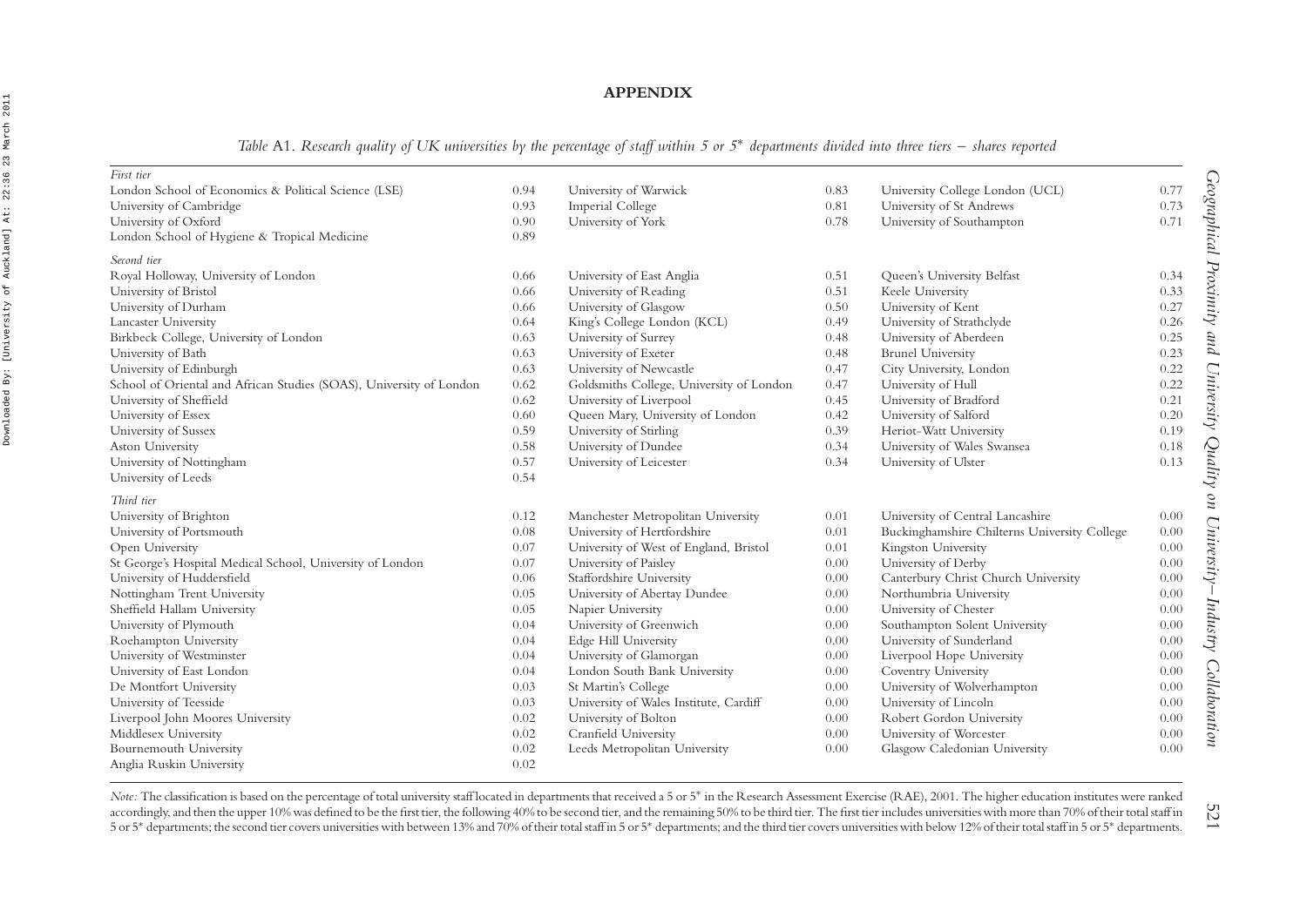## APPENDIX

Table A1. Research quality of UK universities by the percentage of staff within 5 or 5\* departments divided into three tiers – shares reported

| First tier                                                          |      |                                          |      |                                              |      |                                    |
|---------------------------------------------------------------------|------|------------------------------------------|------|----------------------------------------------|------|------------------------------------|
| London School of Economics & Political Science (LSE)                | 0.94 | University of Warwick                    | 0.83 | University College London (UCL)              | 0.77 |                                    |
| University of Cambridge                                             | 0.93 | Imperial College                         | 0.81 | University of St Andrews                     | 0.73 |                                    |
| University of Oxford                                                | 0.90 | University of York                       | 0.78 | University of Southampton                    | 0.71 |                                    |
| London School of Hygiene & Tropical Medicine                        | 0.89 |                                          |      |                                              |      | Geographical                       |
| Second tier                                                         |      |                                          |      |                                              |      |                                    |
| Royal Holloway, University of London                                | 0.66 | University of East Anglia                | 0.51 | Queen's University Belfast                   | 0.34 | Proximity                          |
| University of Bristol                                               | 0.66 | University of Reading                    | 0.51 | Keele University                             | 0.33 |                                    |
| University of Durham                                                | 0.66 | University of Glasgow                    | 0.50 | University of Kent                           | 0.27 |                                    |
| Lancaster University                                                | 0.64 | King's College London (KCL)              | 0.49 | University of Strathclyde                    | 0.26 |                                    |
| Birkbeck College, University of London                              | 0.63 | University of Surrey                     | 0.48 | University of Aberdeen                       | 0.25 | puv                                |
| University of Bath                                                  | 0.63 | University of Exeter                     | 0.48 | <b>Brunel University</b>                     | 0.23 |                                    |
| University of Edinburgh                                             | 0.63 | University of Newcastle                  | 0.47 | City University, London                      | 0.22 |                                    |
| School of Oriental and African Studies (SOAS), University of London | 0.62 | Goldsmiths College, University of London | 0.47 | University of Hull                           | 0.22 |                                    |
| University of Sheffield                                             | 0.62 | University of Liverpool                  | 0.45 | University of Bradford                       | 0.21 | $\label{eq:University} University$ |
| University of Essex                                                 | 0.60 | Queen Mary, University of London         | 0.42 | University of Salford                        | 0.20 |                                    |
| University of Sussex                                                | 0.59 | University of Stirling                   | 0.39 | Heriot-Watt University                       | 0.19 |                                    |
| Aston University                                                    | 0.58 | University of Dundee                     | 0.34 | University of Wales Swansea                  | 0.18 |                                    |
| University of Nottingham                                            | 0.57 | University of Leicester                  | 0.34 | University of Ulster                         | 0.13 |                                    |
| University of Leeds                                                 | 0.54 |                                          |      |                                              |      | Quality                            |
| Third tier                                                          |      |                                          |      |                                              |      |                                    |
| University of Brighton                                              | 0.12 | Manchester Metropolitan University       | 0.01 | University of Central Lancashire             | 0.00 | on University-Industry             |
| University of Portsmouth                                            | 0.08 | University of Hertfordshire              | 0.01 | Buckinghamshire Chilterns University College | 0.00 |                                    |
| Open University                                                     | 0.07 | University of West of England, Bristol   | 0.01 | Kingston University                          | 0.00 |                                    |
| St George's Hospital Medical School, University of London           | 0.07 | University of Paisley                    | 0.00 | University of Derby                          | 0.00 |                                    |
| University of Huddersfield                                          | 0.06 | Staffordshire University                 | 0.00 | Canterbury Christ Church University          | 0.00 |                                    |
| Nottingham Trent University                                         | 0.05 | University of Abertay Dundee             | 0.00 | Northumbria University                       | 0.00 |                                    |
| Sheffield Hallam University                                         | 0.05 | Napier University                        | 0.00 | University of Chester                        | 0.00 |                                    |
| University of Plymouth                                              | 0.04 | University of Greenwich                  | 0.00 | Southampton Solent University                | 0.00 |                                    |
| Roehampton University                                               | 0.04 | Edge Hill University                     | 0.00 | University of Sunderland                     | 0.00 |                                    |
| University of Westminster                                           | 0.04 | University of Glamorgan                  | 0.00 | Liverpool Hope University                    | 0.00 |                                    |
| University of East London                                           | 0.04 | London South Bank University             | 0.00 | Coventry University                          | 0.00 |                                    |
| De Montfort University                                              | 0.03 | St Martin's College                      | 0.00 | University of Wolverhampton                  | 0.00 |                                    |
| University of Teesside                                              | 0.03 | University of Wales Institute, Cardiff   | 0.00 | University of Lincoln                        | 0.00 |                                    |
| Liverpool John Moores University                                    | 0.02 | University of Bolton                     | 0.00 | Robert Gordon University                     | 0.00 | Collaboration                      |
| Middlesex University                                                | 0.02 | Cranfield University                     | 0.00 | University of Worcester                      | 0.00 |                                    |
| Bournemouth University                                              | 0.02 | Leeds Metropolitan University            | 0.00 | Glasgow Caledonian University                | 0.00 |                                    |
| Anglia Ruskin University                                            | 0.02 |                                          |      |                                              |      |                                    |

Note: The classification is based on the percentage of total university staff located in departments that received a 5 or 5\* in the Research Assessment Exercise (RAE), 2001. The higher education institutes were ranked accordingly, and then the upper 10% was defined to be the first tier, the following 40% to be second tier, and the remaining 50% to be third tier. The first tier includes universities with more than 70% of their total staf 5 or 5\* departments; the second tier covers universities with between 13% and 70% of their total staff in 5 or 5\* departments; and the third tier covers universities with below 12% of their total staff in 5 or 5\* departmen

Downloaded By: [University of Auckland] At: 22:36 23 March 2011 Downloaded By: [University of Auckland] At: 22:36 23 March 2011

521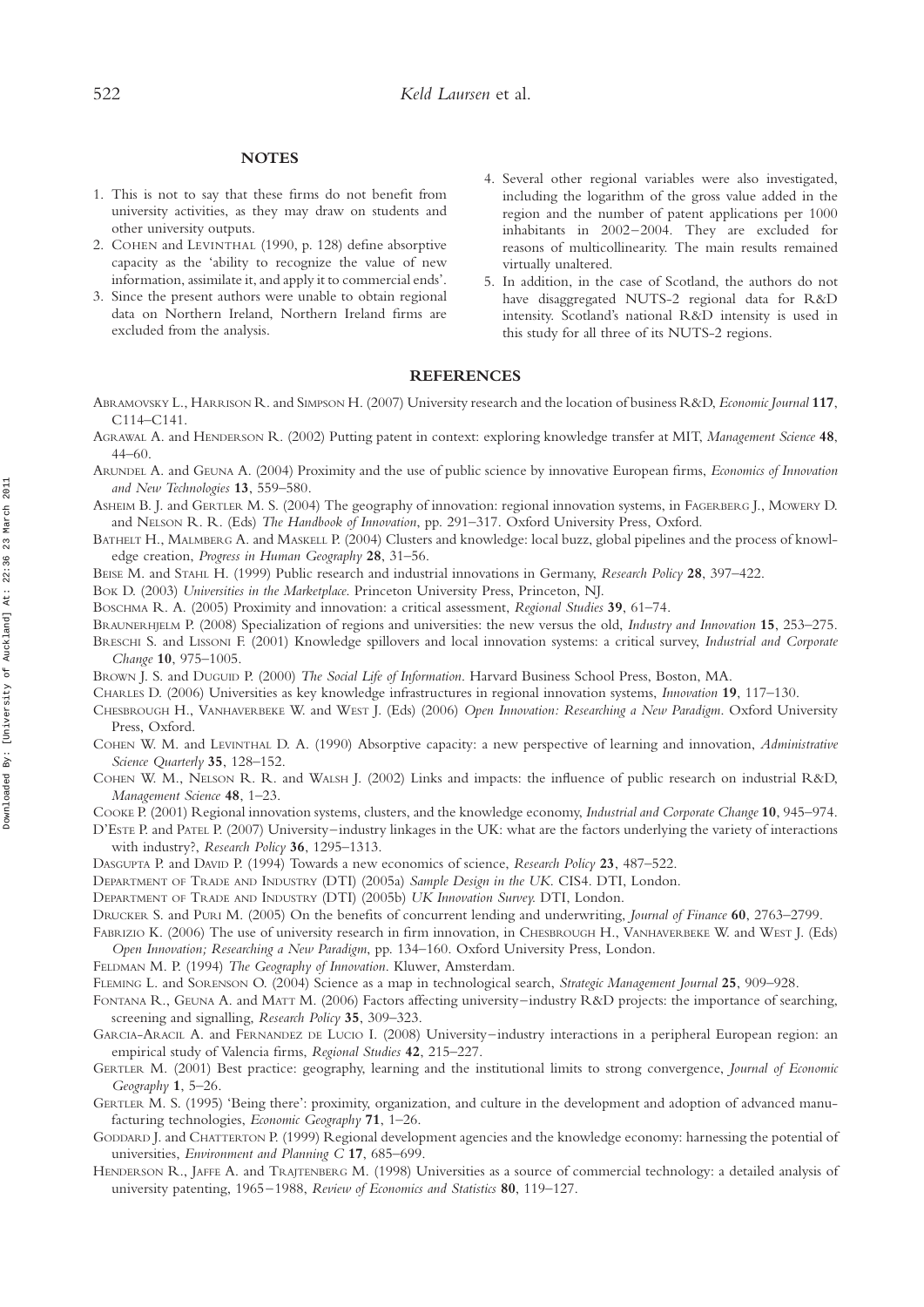#### **NOTES**

- 1. This is not to say that these firms do not benefit from university activities, as they may draw on students and other university outputs.
- 2. COHEN and LEVINTHAL (1990, p. 128) define absorptive capacity as the 'ability to recognize the value of new information, assimilate it, and apply it to commercial ends'.
- 3. Since the present authors were unable to obtain regional data on Northern Ireland, Northern Ireland firms are excluded from the analysis.
- 4. Several other regional variables were also investigated, including the logarithm of the gross value added in the region and the number of patent applications per 1000 inhabitants in 2002–2004. They are excluded for reasons of multicollinearity. The main results remained virtually unaltered.
- 5. In addition, in the case of Scotland, the authors do not have disaggregated NUTS-2 regional data for R&D intensity. Scotland's national R&D intensity is used in this study for all three of its NUTS-2 regions.

#### **REFERENCES**

- ABRAMOVSKY L., HARRISON R. and SIMPSON H. (2007) University research and the location of business R&D, Economic Journal 117, C114–C141.
- AGRAWAL A. and HENDERSON R. (2002) Putting patent in context: exploring knowledge transfer at MIT, Management Science 48, 44–60.
- ARUNDEL A. and GEUNA A. (2004) Proximity and the use of public science by innovative European firms, Economics of Innovation and New Technologies 13, 559–580.
- ASHEIM B. J. and GERTLER M. S. (2004) The geography of innovation: regional innovation systems, in FAGERBERG J., MOWERY D. and NELSON R. R. (Eds) The Handbook of Innovation, pp. 291–317. Oxford University Press, Oxford.
- BATHELT H., MALMBERG A. and MASKELL P. (2004) Clusters and knowledge: local buzz, global pipelines and the process of knowledge creation, Progress in Human Geography 28, 31–56.
- BEISE M. and STAHL H. (1999) Public research and industrial innovations in Germany, Research Policy 28, 397-422.
- BOK D. (2003) Universities in the Marketplace. Princeton University Press, Princeton, NJ.
- BOSCHMA R. A. (2005) Proximity and innovation: a critical assessment, Regional Studies 39, 61–74.
- BRAUNERHJELM P. (2008) Specialization of regions and universities: the new versus the old, Industry and Innovation 15, 253–275.
- BRESCHI S. and LISSONI F. (2001) Knowledge spillovers and local innovation systems: a critical survey, Industrial and Corporate Change 10, 975–1005.
- BROWN J. S. and DUGUID P. (2000) The Social Life of Information. Harvard Business School Press, Boston, MA.
- CHARLES D. (2006) Universities as key knowledge infrastructures in regional innovation systems, Innovation 19, 117–130.
- CHESBROUGH H., VANHAVERBEKE W. and WEST J. (Eds) (2006) Open Innovation: Researching a New Paradigm. Oxford University Press, Oxford.
- COHEN W. M. and LEVINTHAL D. A. (1990) Absorptive capacity: a new perspective of learning and innovation, Administrative Science Quarterly 35, 128-152.
- COHEN W. M., NELSON R. R. and WALSH J. (2002) Links and impacts: the influence of public research on industrial R&D, Management Science 48, 1–23.
- COOKE P. (2001) Regional innovation systems, clusters, and the knowledge economy, Industrial and Corporate Change 10, 945–974.
- D'ESTE P. and PATEL P. (2007) University–industry linkages in the UK: what are the factors underlying the variety of interactions with industry?, Research Policy 36, 1295-1313.
- DASGUPTA P. and DAVID P. (1994) Towards a new economics of science, Research Policy 23, 487–522.
- DEPARTMENT OF TRADE AND INDUSTRY (DTI) (2005a) Sample Design in the UK. CIS4. DTI, London.
- DEPARTMENT OF TRADE AND INDUSTRY (DTI) (2005b) UK Innovation Survey. DTI, London.
- DRUCKER S. and PURI M. (2005) On the benefits of concurrent lending and underwriting, Journal of Finance 60, 2763–2799.
- FABRIZIO K. (2006) The use of university research in firm innovation, in CHESBROUGH H., VANHAVERBEKE W. and WEST J. (Eds) Open Innovation; Researching a New Paradigm, pp. 134–160. Oxford University Press, London.
- FELDMAN M. P. (1994) The Geography of Innovation. Kluwer, Amsterdam.
- FLEMING L. and SORENSON O. (2004) Science as a map in technological search, Strategic Management Journal 25, 909–928.
- FONTANA R., GEUNA A. and MATT M. (2006) Factors affecting university–industry R&D projects: the importance of searching, screening and signalling, Research Policy 35, 309-323.
- GARCIA-ARACIL A. and FERNANDEZ DE LUCIO I. (2008) University–industry interactions in a peripheral European region: an empirical study of Valencia firms, Regional Studies 42, 215–227.
- GERTLER M. (2001) Best practice: geography, learning and the institutional limits to strong convergence, Journal of Economic Geography  $1, 5-26$ .
- GERTLER M. S. (1995) 'Being there': proximity, organization, and culture in the development and adoption of advanced manufacturing technologies, Economic Geography 71, 1–26.
- GODDARD J. and CHATTERTON P. (1999) Regional development agencies and the knowledge economy: harnessing the potential of universities, Environment and Planning C 17, 685–699.
- HENDERSON R., JAFFE A. and TRAJTENBERG M. (1998) Universities as a source of commercial technology: a detailed analysis of university patenting, 1965-1988, Review of Economics and Statistics 80, 119-127.